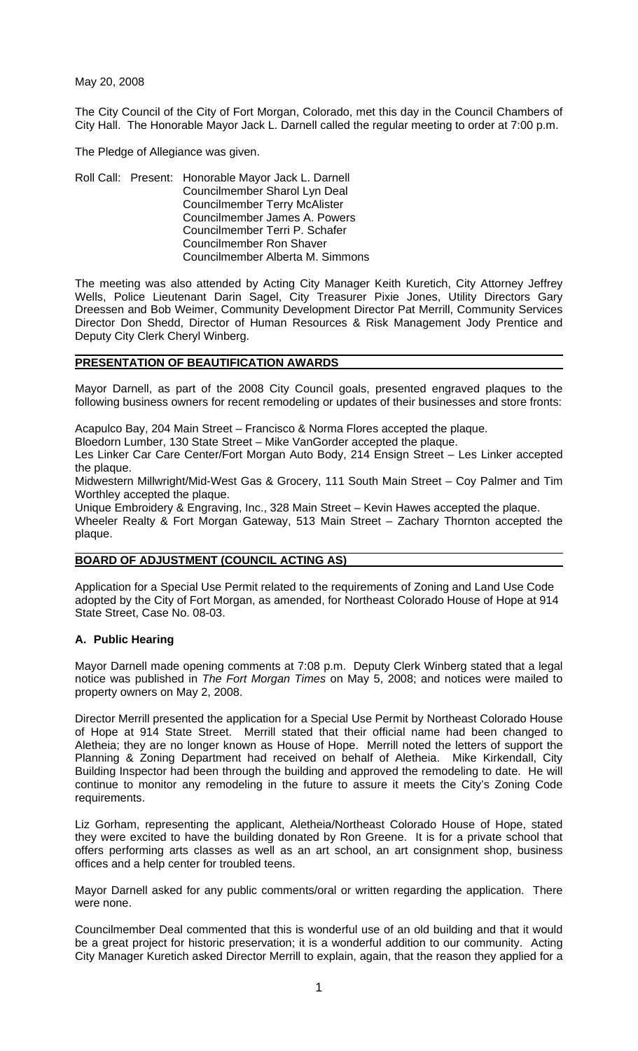May 20, 2008

The City Council of the City of Fort Morgan, Colorado, met this day in the Council Chambers of City Hall. The Honorable Mayor Jack L. Darnell called the regular meeting to order at 7:00 p.m.

The Pledge of Allegiance was given.

Roll Call: Present: Honorable Mayor Jack L. Darnell Councilmember Sharol Lyn Deal Councilmember Terry McAlister Councilmember James A. Powers Councilmember Terri P. Schafer Councilmember Ron Shaver Councilmember Alberta M. Simmons

The meeting was also attended by Acting City Manager Keith Kuretich, City Attorney Jeffrey Wells, Police Lieutenant Darin Sagel, City Treasurer Pixie Jones, Utility Directors Gary Dreessen and Bob Weimer, Community Development Director Pat Merrill, Community Services Director Don Shedd, Director of Human Resources & Risk Management Jody Prentice and Deputy City Clerk Cheryl Winberg.

# **PRESENTATION OF BEAUTIFICATION AWARDS**

Mayor Darnell, as part of the 2008 City Council goals, presented engraved plaques to the following business owners for recent remodeling or updates of their businesses and store fronts:

Acapulco Bay, 204 Main Street – Francisco & Norma Flores accepted the plaque.

Bloedorn Lumber, 130 State Street – Mike VanGorder accepted the plaque.

Les Linker Car Care Center/Fort Morgan Auto Body, 214 Ensign Street – Les Linker accepted the plaque.

Midwestern Millwright/Mid-West Gas & Grocery, 111 South Main Street – Coy Palmer and Tim Worthley accepted the plaque.

Unique Embroidery & Engraving, Inc., 328 Main Street – Kevin Hawes accepted the plaque. Wheeler Realty & Fort Morgan Gateway, 513 Main Street – Zachary Thornton accepted the plaque.

#### **BOARD OF ADJUSTMENT (COUNCIL ACTING AS)**

Application for a Special Use Permit related to the requirements of Zoning and Land Use Code adopted by the City of Fort Morgan, as amended, for Northeast Colorado House of Hope at 914 State Street, Case No. 08-03.

#### **A. Public Hearing**

Mayor Darnell made opening comments at 7:08 p.m. Deputy Clerk Winberg stated that a legal notice was published in *The Fort Morgan Times* on May 5, 2008; and notices were mailed to property owners on May 2, 2008.

Director Merrill presented the application for a Special Use Permit by Northeast Colorado House of Hope at 914 State Street. Merrill stated that their official name had been changed to Aletheia; they are no longer known as House of Hope. Merrill noted the letters of support the Planning & Zoning Department had received on behalf of Aletheia. Mike Kirkendall, City Building Inspector had been through the building and approved the remodeling to date. He will continue to monitor any remodeling in the future to assure it meets the City's Zoning Code requirements.

Liz Gorham, representing the applicant, Aletheia/Northeast Colorado House of Hope, stated they were excited to have the building donated by Ron Greene. It is for a private school that offers performing arts classes as well as an art school, an art consignment shop, business offices and a help center for troubled teens.

Mayor Darnell asked for any public comments/oral or written regarding the application. There were none.

Councilmember Deal commented that this is wonderful use of an old building and that it would be a great project for historic preservation; it is a wonderful addition to our community. Acting City Manager Kuretich asked Director Merrill to explain, again, that the reason they applied for a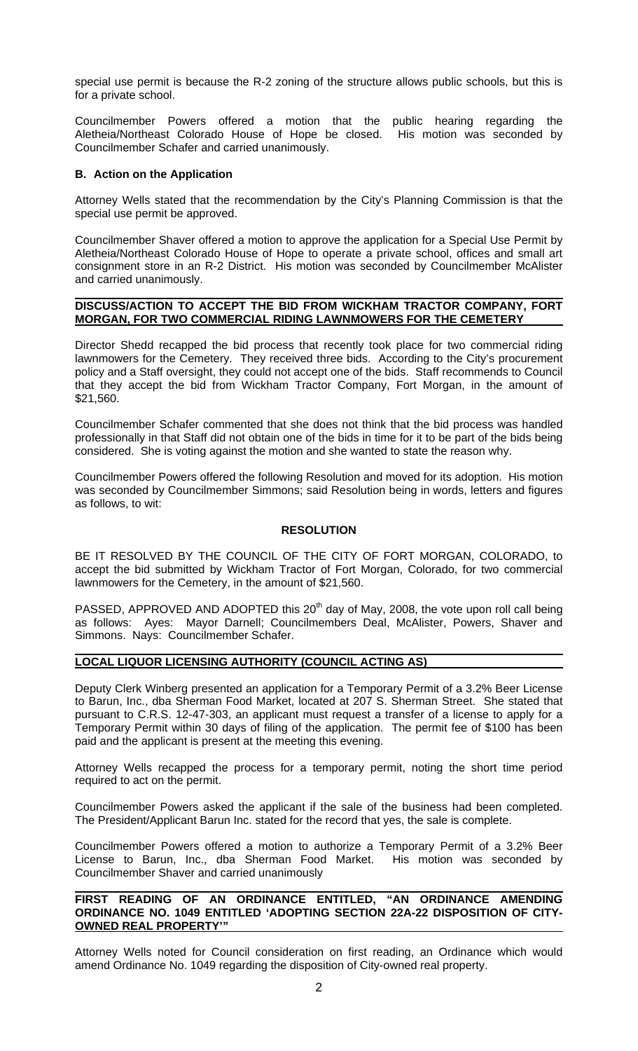special use permit is because the R-2 zoning of the structure allows public schools, but this is for a private school.

Councilmember Powers offered a motion that the public hearing regarding the Aletheia/Northeast Colorado House of Hope be closed. His motion was seconded by Councilmember Schafer and carried unanimously.

## **B. Action on the Application**

Attorney Wells stated that the recommendation by the City's Planning Commission is that the special use permit be approved.

Councilmember Shaver offered a motion to approve the application for a Special Use Permit by Aletheia/Northeast Colorado House of Hope to operate a private school, offices and small art consignment store in an R-2 District. His motion was seconded by Councilmember McAlister and carried unanimously.

#### **DISCUSS/ACTION TO ACCEPT THE BID FROM WICKHAM TRACTOR COMPANY, FORT MORGAN, FOR TWO COMMERCIAL RIDING LAWNMOWERS FOR THE CEMETERY**

Director Shedd recapped the bid process that recently took place for two commercial riding lawnmowers for the Cemetery. They received three bids. According to the City's procurement policy and a Staff oversight, they could not accept one of the bids. Staff recommends to Council that they accept the bid from Wickham Tractor Company, Fort Morgan, in the amount of \$21,560.

Councilmember Schafer commented that she does not think that the bid process was handled professionally in that Staff did not obtain one of the bids in time for it to be part of the bids being considered. She is voting against the motion and she wanted to state the reason why.

Councilmember Powers offered the following Resolution and moved for its adoption. His motion was seconded by Councilmember Simmons; said Resolution being in words, letters and figures as follows, to wit:

## **RESOLUTION**

BE IT RESOLVED BY THE COUNCIL OF THE CITY OF FORT MORGAN, COLORADO, to accept the bid submitted by Wickham Tractor of Fort Morgan, Colorado, for two commercial lawnmowers for the Cemetery, in the amount of \$21,560.

PASSED, APPROVED AND ADOPTED this  $20<sup>th</sup>$  day of May, 2008, the vote upon roll call being as follows: Ayes: Mayor Darnell; Councilmembers Deal, McAlister, Powers, Shaver and Simmons. Nays: Councilmember Schafer.

#### **LOCAL LIQUOR LICENSING AUTHORITY (COUNCIL ACTING AS)**

Deputy Clerk Winberg presented an application for a Temporary Permit of a 3.2% Beer License to Barun, Inc., dba Sherman Food Market, located at 207 S. Sherman Street. She stated that pursuant to C.R.S. 12-47-303, an applicant must request a transfer of a license to apply for a Temporary Permit within 30 days of filing of the application. The permit fee of \$100 has been paid and the applicant is present at the meeting this evening.

Attorney Wells recapped the process for a temporary permit, noting the short time period required to act on the permit.

Councilmember Powers asked the applicant if the sale of the business had been completed. The President/Applicant Barun Inc. stated for the record that yes, the sale is complete.

Councilmember Powers offered a motion to authorize a Temporary Permit of a 3.2% Beer License to Barun, Inc., dba Sherman Food Market. His motion was seconded by Councilmember Shaver and carried unanimously

#### **FIRST READING OF AN ORDINANCE ENTITLED, "AN ORDINANCE AMENDING ORDINANCE NO. 1049 ENTITLED 'ADOPTING SECTION 22A-22 DISPOSITION OF CITY-OWNED REAL PROPERTY'"**

Attorney Wells noted for Council consideration on first reading, an Ordinance which would amend Ordinance No. 1049 regarding the disposition of City-owned real property.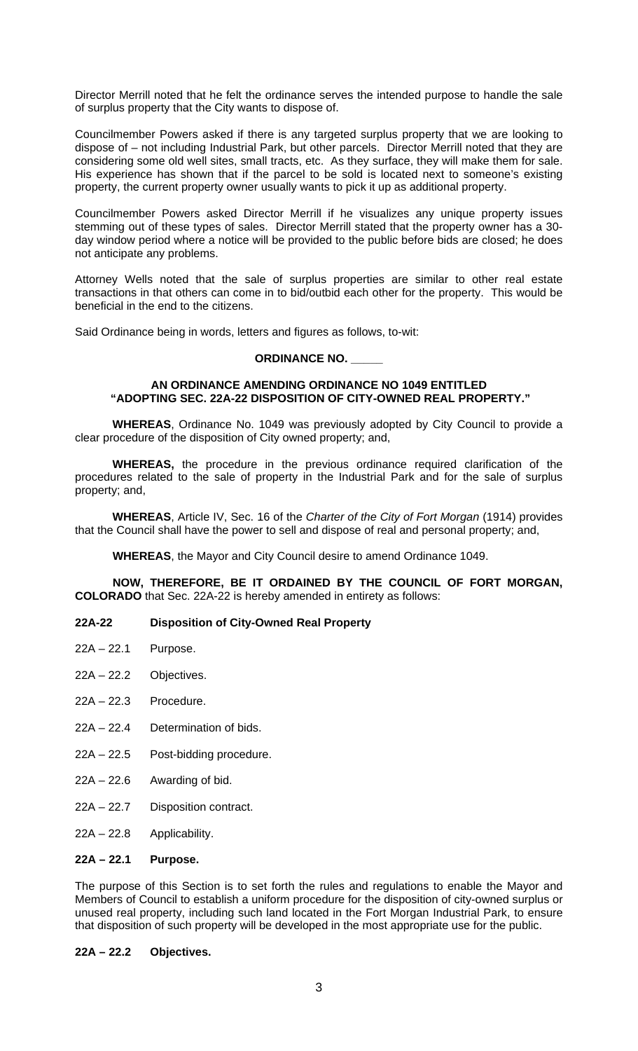Director Merrill noted that he felt the ordinance serves the intended purpose to handle the sale of surplus property that the City wants to dispose of.

Councilmember Powers asked if there is any targeted surplus property that we are looking to dispose of – not including Industrial Park, but other parcels. Director Merrill noted that they are considering some old well sites, small tracts, etc. As they surface, they will make them for sale. His experience has shown that if the parcel to be sold is located next to someone's existing property, the current property owner usually wants to pick it up as additional property.

Councilmember Powers asked Director Merrill if he visualizes any unique property issues stemming out of these types of sales. Director Merrill stated that the property owner has a 30 day window period where a notice will be provided to the public before bids are closed; he does not anticipate any problems.

Attorney Wells noted that the sale of surplus properties are similar to other real estate transactions in that others can come in to bid/outbid each other for the property. This would be beneficial in the end to the citizens.

Said Ordinance being in words, letters and figures as follows, to-wit:

# **ORDINANCE NO. \_\_\_\_\_**

## **AN ORDINANCE AMENDING ORDINANCE NO 1049 ENTITLED "ADOPTING SEC. 22A-22 DISPOSITION OF CITY-OWNED REAL PROPERTY."**

**WHEREAS**, Ordinance No. 1049 was previously adopted by City Council to provide a clear procedure of the disposition of City owned property; and,

**WHEREAS,** the procedure in the previous ordinance required clarification of the procedures related to the sale of property in the Industrial Park and for the sale of surplus property; and,

**WHEREAS**, Article IV, Sec. 16 of the *Charter of the City of Fort Morgan* (1914) provides that the Council shall have the power to sell and dispose of real and personal property; and,

**WHEREAS**, the Mayor and City Council desire to amend Ordinance 1049.

**NOW, THEREFORE, BE IT ORDAINED BY THE COUNCIL OF FORT MORGAN, COLORADO** that Sec. 22A-22 is hereby amended in entirety as follows:

# **22A-22 Disposition of City-Owned Real Property**

- 22A 22.1 Purpose.
- 22A 22.2 Objectives.
- 22A 22.3 Procedure.
- 22A 22.4 Determination of bids.
- 22A 22.5 Post-bidding procedure.
- $22A 22.6$  Awarding of bid.
- 22A 22.7 Disposition contract.
- 22A 22.8 Applicability.

## **22A – 22.1 Purpose.**

The purpose of this Section is to set forth the rules and regulations to enable the Mayor and Members of Council to establish a uniform procedure for the disposition of city-owned surplus or unused real property, including such land located in the Fort Morgan Industrial Park, to ensure that disposition of such property will be developed in the most appropriate use for the public.

## **22A – 22.2 Objectives.**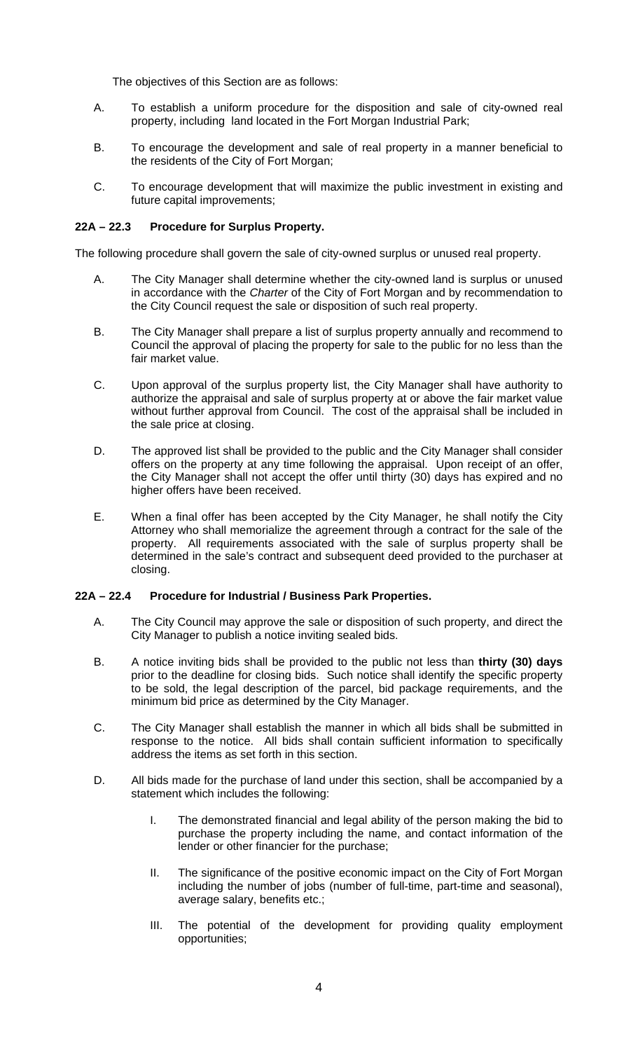The objectives of this Section are as follows:

- A. To establish a uniform procedure for the disposition and sale of city-owned real property, including land located in the Fort Morgan Industrial Park;
- B. To encourage the development and sale of real property in a manner beneficial to the residents of the City of Fort Morgan;
- C. To encourage development that will maximize the public investment in existing and future capital improvements;

# **22A – 22.3 Procedure for Surplus Property.**

The following procedure shall govern the sale of city-owned surplus or unused real property.

- A. The City Manager shall determine whether the city-owned land is surplus or unused in accordance with the *Charter* of the City of Fort Morgan and by recommendation to the City Council request the sale or disposition of such real property.
- B. The City Manager shall prepare a list of surplus property annually and recommend to Council the approval of placing the property for sale to the public for no less than the fair market value.
- C. Upon approval of the surplus property list, the City Manager shall have authority to authorize the appraisal and sale of surplus property at or above the fair market value without further approval from Council. The cost of the appraisal shall be included in the sale price at closing.
- D. The approved list shall be provided to the public and the City Manager shall consider offers on the property at any time following the appraisal. Upon receipt of an offer, the City Manager shall not accept the offer until thirty (30) days has expired and no higher offers have been received.
- E. When a final offer has been accepted by the City Manager, he shall notify the City Attorney who shall memorialize the agreement through a contract for the sale of the property. All requirements associated with the sale of surplus property shall be determined in the sale's contract and subsequent deed provided to the purchaser at closing.

# **22A – 22.4 Procedure for Industrial / Business Park Properties.**

- A. The City Council may approve the sale or disposition of such property, and direct the City Manager to publish a notice inviting sealed bids.
- B. A notice inviting bids shall be provided to the public not less than **thirty (30) days**  prior to the deadline for closing bids. Such notice shall identify the specific property to be sold, the legal description of the parcel, bid package requirements, and the minimum bid price as determined by the City Manager.
- C. The City Manager shall establish the manner in which all bids shall be submitted in response to the notice. All bids shall contain sufficient information to specifically address the items as set forth in this section.
- D. All bids made for the purchase of land under this section, shall be accompanied by a statement which includes the following:
	- I. The demonstrated financial and legal ability of the person making the bid to purchase the property including the name, and contact information of the lender or other financier for the purchase;
	- II. The significance of the positive economic impact on the City of Fort Morgan including the number of jobs (number of full-time, part-time and seasonal), average salary, benefits etc.;
	- III. The potential of the development for providing quality employment opportunities;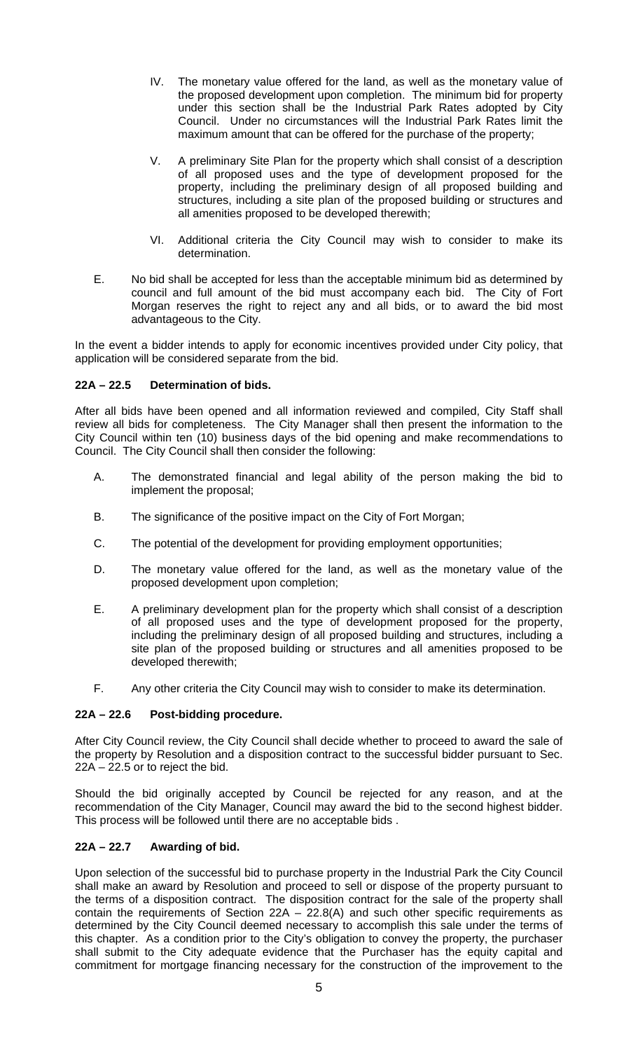- IV. The monetary value offered for the land, as well as the monetary value of the proposed development upon completion. The minimum bid for property under this section shall be the Industrial Park Rates adopted by City Council. Under no circumstances will the Industrial Park Rates limit the maximum amount that can be offered for the purchase of the property;
- V. A preliminary Site Plan for the property which shall consist of a description of all proposed uses and the type of development proposed for the property, including the preliminary design of all proposed building and structures, including a site plan of the proposed building or structures and all amenities proposed to be developed therewith;
- VI. Additional criteria the City Council may wish to consider to make its determination.
- E. No bid shall be accepted for less than the acceptable minimum bid as determined by council and full amount of the bid must accompany each bid. The City of Fort Morgan reserves the right to reject any and all bids, or to award the bid most advantageous to the City.

In the event a bidder intends to apply for economic incentives provided under City policy, that application will be considered separate from the bid.

# **22A – 22.5 Determination of bids.**

After all bids have been opened and all information reviewed and compiled, City Staff shall review all bids for completeness. The City Manager shall then present the information to the City Council within ten (10) business days of the bid opening and make recommendations to Council. The City Council shall then consider the following:

- A. The demonstrated financial and legal ability of the person making the bid to implement the proposal;
- B. The significance of the positive impact on the City of Fort Morgan;
- C. The potential of the development for providing employment opportunities;
- D. The monetary value offered for the land, as well as the monetary value of the proposed development upon completion;
- E. A preliminary development plan for the property which shall consist of a description of all proposed uses and the type of development proposed for the property, including the preliminary design of all proposed building and structures, including a site plan of the proposed building or structures and all amenities proposed to be developed therewith;
- F. Any other criteria the City Council may wish to consider to make its determination.

# **22A – 22.6 Post-bidding procedure.**

After City Council review, the City Council shall decide whether to proceed to award the sale of the property by Resolution and a disposition contract to the successful bidder pursuant to Sec. 22A – 22.5 or to reject the bid.

Should the bid originally accepted by Council be rejected for any reason, and at the recommendation of the City Manager, Council may award the bid to the second highest bidder. This process will be followed until there are no acceptable bids .

# **22A – 22.7 Awarding of bid.**

Upon selection of the successful bid to purchase property in the Industrial Park the City Council shall make an award by Resolution and proceed to sell or dispose of the property pursuant to the terms of a disposition contract. The disposition contract for the sale of the property shall contain the requirements of Section  $22A - 22.8(A)$  and such other specific requirements as determined by the City Council deemed necessary to accomplish this sale under the terms of this chapter. As a condition prior to the City's obligation to convey the property, the purchaser shall submit to the City adequate evidence that the Purchaser has the equity capital and commitment for mortgage financing necessary for the construction of the improvement to the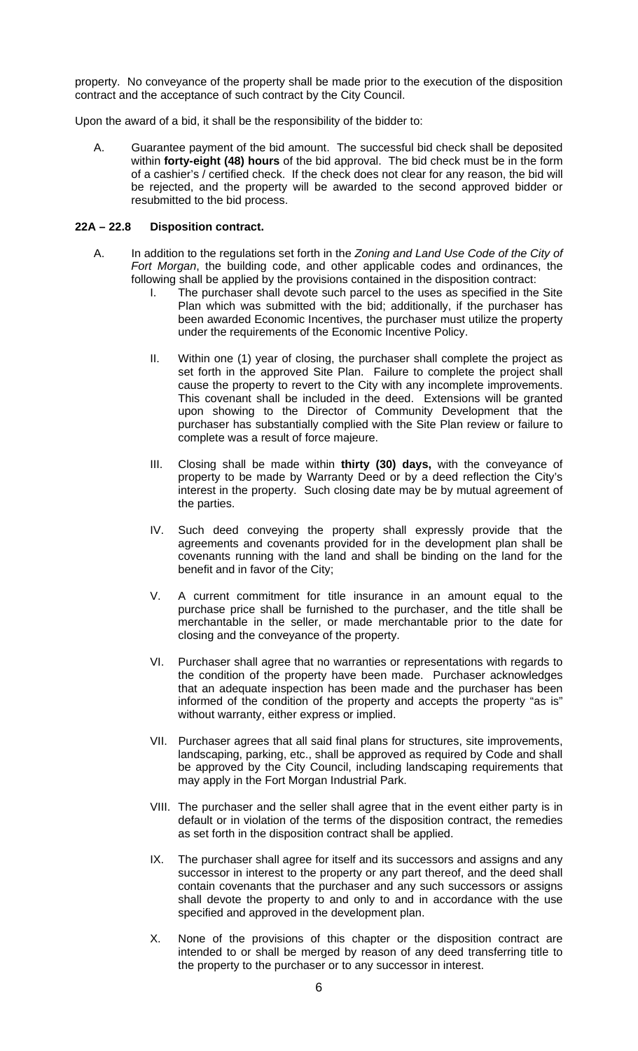property. No conveyance of the property shall be made prior to the execution of the disposition contract and the acceptance of such contract by the City Council.

Upon the award of a bid, it shall be the responsibility of the bidder to:

A. Guarantee payment of the bid amount. The successful bid check shall be deposited within **forty-eight (48) hours** of the bid approval. The bid check must be in the form of a cashier's / certified check. If the check does not clear for any reason, the bid will be rejected, and the property will be awarded to the second approved bidder or resubmitted to the bid process.

## **22A – 22.8 Disposition contract.**

- A. In addition to the regulations set forth in the *Zoning and Land Use Code of the City of Fort Morgan*, the building code, and other applicable codes and ordinances, the following shall be applied by the provisions contained in the disposition contract:
	- I. The purchaser shall devote such parcel to the uses as specified in the Site Plan which was submitted with the bid; additionally, if the purchaser has been awarded Economic Incentives, the purchaser must utilize the property under the requirements of the Economic Incentive Policy.
	- II. Within one (1) year of closing, the purchaser shall complete the project as set forth in the approved Site Plan. Failure to complete the project shall cause the property to revert to the City with any incomplete improvements. This covenant shall be included in the deed. Extensions will be granted upon showing to the Director of Community Development that the purchaser has substantially complied with the Site Plan review or failure to complete was a result of force majeure.
	- III. Closing shall be made within **thirty (30) days,** with the conveyance of property to be made by Warranty Deed or by a deed reflection the City's interest in the property. Such closing date may be by mutual agreement of the parties.
	- IV. Such deed conveying the property shall expressly provide that the agreements and covenants provided for in the development plan shall be covenants running with the land and shall be binding on the land for the benefit and in favor of the City;
	- V. A current commitment for title insurance in an amount equal to the purchase price shall be furnished to the purchaser, and the title shall be merchantable in the seller, or made merchantable prior to the date for closing and the conveyance of the property.
	- VI. Purchaser shall agree that no warranties or representations with regards to the condition of the property have been made. Purchaser acknowledges that an adequate inspection has been made and the purchaser has been informed of the condition of the property and accepts the property "as is" without warranty, either express or implied.
	- VII. Purchaser agrees that all said final plans for structures, site improvements, landscaping, parking, etc., shall be approved as required by Code and shall be approved by the City Council, including landscaping requirements that may apply in the Fort Morgan Industrial Park.
	- VIII. The purchaser and the seller shall agree that in the event either party is in default or in violation of the terms of the disposition contract, the remedies as set forth in the disposition contract shall be applied.
	- IX. The purchaser shall agree for itself and its successors and assigns and any successor in interest to the property or any part thereof, and the deed shall contain covenants that the purchaser and any such successors or assigns shall devote the property to and only to and in accordance with the use specified and approved in the development plan.
	- X. None of the provisions of this chapter or the disposition contract are intended to or shall be merged by reason of any deed transferring title to the property to the purchaser or to any successor in interest.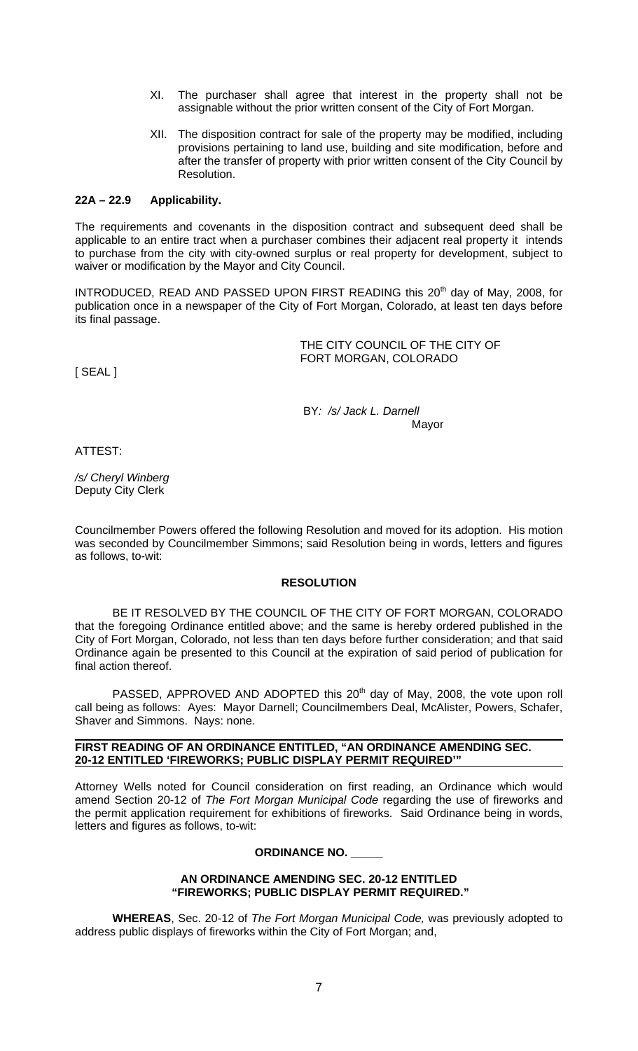- XI. The purchaser shall agree that interest in the property shall not be assignable without the prior written consent of the City of Fort Morgan.
- XII. The disposition contract for sale of the property may be modified, including provisions pertaining to land use, building and site modification, before and after the transfer of property with prior written consent of the City Council by Resolution.

## **22A – 22.9 Applicability.**

The requirements and covenants in the disposition contract and subsequent deed shall be applicable to an entire tract when a purchaser combines their adjacent real property it intends to purchase from the city with city-owned surplus or real property for development, subject to waiver or modification by the Mayor and City Council.

INTRODUCED, READ AND PASSED UPON FIRST READING this 20<sup>th</sup> day of May, 2008, for publication once in a newspaper of the City of Fort Morgan, Colorado, at least ten days before its final passage.

> THE CITY COUNCIL OF THE CITY OF FORT MORGAN, COLORADO

[ SEAL ]

 BY*: /s/ Jack L. Darnell* Mayor

ATTEST:

*/s/ Cheryl Winberg* Deputy City Clerk

Councilmember Powers offered the following Resolution and moved for its adoption. His motion was seconded by Councilmember Simmons; said Resolution being in words, letters and figures as follows, to-wit:

#### **RESOLUTION**

 BE IT RESOLVED BY THE COUNCIL OF THE CITY OF FORT MORGAN, COLORADO that the foregoing Ordinance entitled above; and the same is hereby ordered published in the City of Fort Morgan, Colorado, not less than ten days before further consideration; and that said Ordinance again be presented to this Council at the expiration of said period of publication for final action thereof.

PASSED, APPROVED AND ADOPTED this 20<sup>th</sup> day of May, 2008, the vote upon roll call being as follows: Ayes: Mayor Darnell; Councilmembers Deal, McAlister, Powers, Schafer, Shaver and Simmons. Nays: none.

#### **FIRST READING OF AN ORDINANCE ENTITLED, "AN ORDINANCE AMENDING SEC. 20-12 ENTITLED 'FIREWORKS; PUBLIC DISPLAY PERMIT REQUIRED'"**

Attorney Wells noted for Council consideration on first reading, an Ordinance which would amend Section 20-12 of *The Fort Morgan Municipal Code* regarding the use of fireworks and the permit application requirement for exhibitions of fireworks. Said Ordinance being in words, letters and figures as follows, to-wit:

#### **ORDINANCE NO. \_\_\_\_\_**

#### **AN ORDINANCE AMENDING SEC. 20-12 ENTITLED "FIREWORKS; PUBLIC DISPLAY PERMIT REQUIRED."**

**WHEREAS**, Sec. 20-12 of *The Fort Morgan Municipal Code,* was previously adopted to address public displays of fireworks within the City of Fort Morgan; and,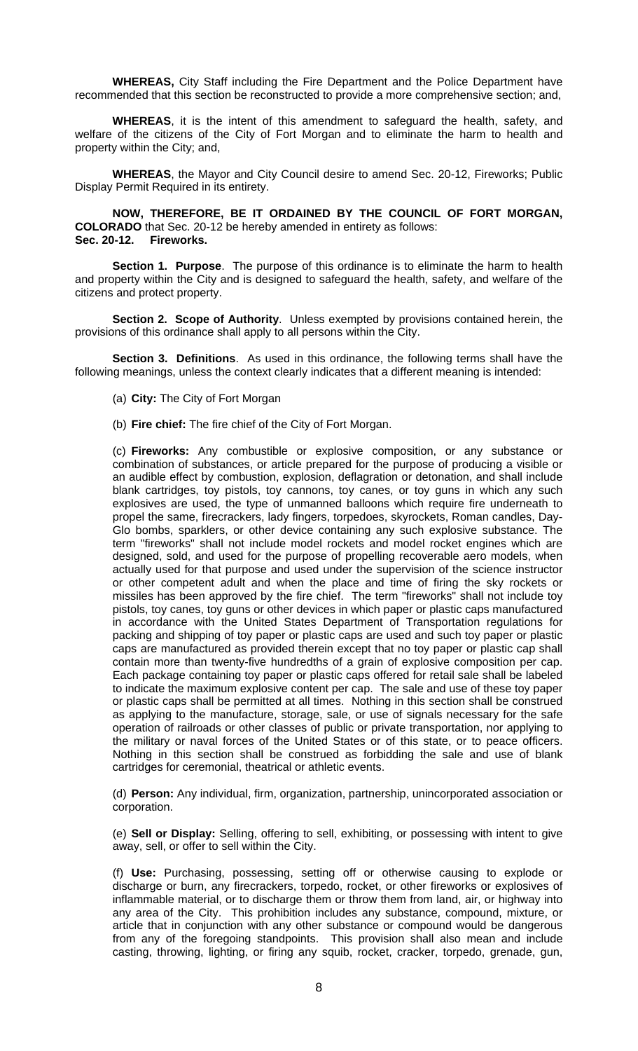**WHEREAS,** City Staff including the Fire Department and the Police Department have recommended that this section be reconstructed to provide a more comprehensive section; and,

**WHEREAS**, it is the intent of this amendment to safeguard the health, safety, and welfare of the citizens of the City of Fort Morgan and to eliminate the harm to health and property within the City; and,

**WHEREAS**, the Mayor and City Council desire to amend Sec. 20-12, Fireworks; Public Display Permit Required in its entirety.

**NOW, THEREFORE, BE IT ORDAINED BY THE COUNCIL OF FORT MORGAN, COLORADO** that Sec. 20-12 be hereby amended in entirety as follows: **Sec. 20-12. Fireworks.** 

**Section 1. Purpose**. The purpose of this ordinance is to eliminate the harm to health and property within the City and is designed to safeguard the health, safety, and welfare of the citizens and protect property.

**Section 2. Scope of Authority**. Unless exempted by provisions contained herein, the provisions of this ordinance shall apply to all persons within the City.

**Section 3. Definitions**. As used in this ordinance, the following terms shall have the following meanings, unless the context clearly indicates that a different meaning is intended:

- (a) **City:** The City of Fort Morgan
- (b) **Fire chief:** The fire chief of the City of Fort Morgan.

(c) **Fireworks:** Any combustible or explosive composition, or any substance or combination of substances, or article prepared for the purpose of producing a visible or an audible effect by combustion, explosion, deflagration or detonation, and shall include blank cartridges, toy pistols, toy cannons, toy canes, or toy guns in which any such explosives are used, the type of unmanned balloons which require fire underneath to propel the same, firecrackers, lady fingers, torpedoes, skyrockets, Roman candles, Day-Glo bombs, sparklers, or other device containing any such explosive substance. The term "fireworks" shall not include model rockets and model rocket engines which are designed, sold, and used for the purpose of propelling recoverable aero models, when actually used for that purpose and used under the supervision of the science instructor or other competent adult and when the place and time of firing the sky rockets or missiles has been approved by the fire chief. The term "fireworks" shall not include toy pistols, toy canes, toy guns or other devices in which paper or plastic caps manufactured in accordance with the United States Department of Transportation regulations for packing and shipping of toy paper or plastic caps are used and such toy paper or plastic caps are manufactured as provided therein except that no toy paper or plastic cap shall contain more than twenty-five hundredths of a grain of explosive composition per cap. Each package containing toy paper or plastic caps offered for retail sale shall be labeled to indicate the maximum explosive content per cap. The sale and use of these toy paper or plastic caps shall be permitted at all times. Nothing in this section shall be construed as applying to the manufacture, storage, sale, or use of signals necessary for the safe operation of railroads or other classes of public or private transportation, nor applying to the military or naval forces of the United States or of this state, or to peace officers. Nothing in this section shall be construed as forbidding the sale and use of blank cartridges for ceremonial, theatrical or athletic events.

(d) **Person:** Any individual, firm, organization, partnership, unincorporated association or corporation.

(e) **Sell or Display:** Selling, offering to sell, exhibiting, or possessing with intent to give away, sell, or offer to sell within the City.

(f) **Use:** Purchasing, possessing, setting off or otherwise causing to explode or discharge or burn, any firecrackers, torpedo, rocket, or other fireworks or explosives of inflammable material, or to discharge them or throw them from land, air, or highway into any area of the City. This prohibition includes any substance, compound, mixture, or article that in conjunction with any other substance or compound would be dangerous from any of the foregoing standpoints. This provision shall also mean and include casting, throwing, lighting, or firing any squib, rocket, cracker, torpedo, grenade, gun,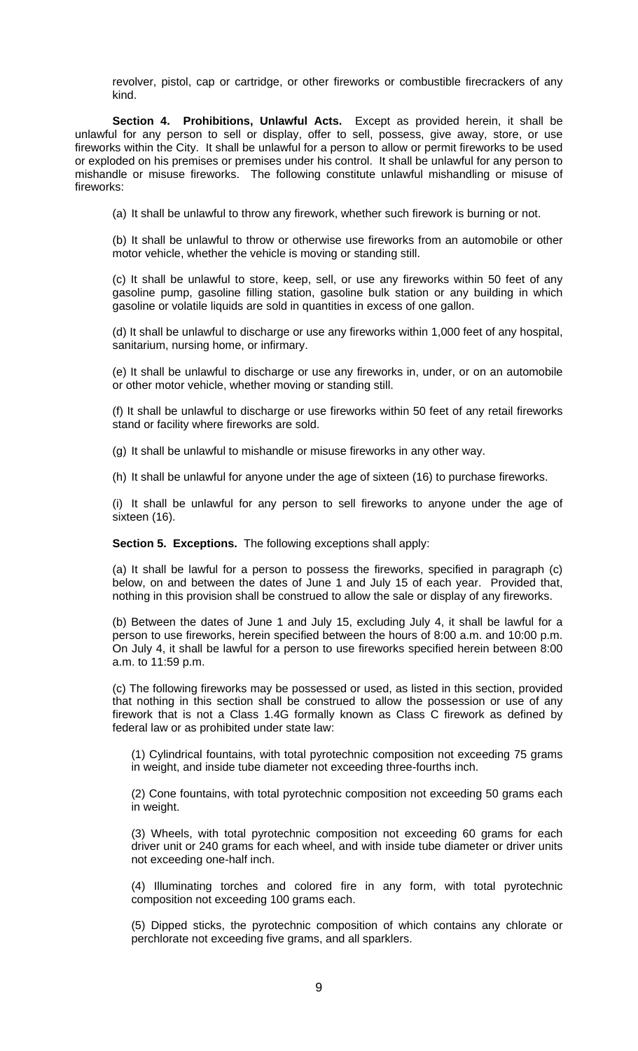revolver, pistol, cap or cartridge, or other fireworks or combustible firecrackers of any kind.

**Section 4. Prohibitions, Unlawful Acts.** Except as provided herein, it shall be unlawful for any person to sell or display, offer to sell, possess, give away, store, or use fireworks within the City. It shall be unlawful for a person to allow or permit fireworks to be used or exploded on his premises or premises under his control. It shall be unlawful for any person to mishandle or misuse fireworks. The following constitute unlawful mishandling or misuse of fireworks:

(a) It shall be unlawful to throw any firework, whether such firework is burning or not.

(b) It shall be unlawful to throw or otherwise use fireworks from an automobile or other motor vehicle, whether the vehicle is moving or standing still.

(c) It shall be unlawful to store, keep, sell, or use any fireworks within 50 feet of any gasoline pump, gasoline filling station, gasoline bulk station or any building in which gasoline or volatile liquids are sold in quantities in excess of one gallon.

(d) It shall be unlawful to discharge or use any fireworks within 1,000 feet of any hospital, sanitarium, nursing home, or infirmary.

(e) It shall be unlawful to discharge or use any fireworks in, under, or on an automobile or other motor vehicle, whether moving or standing still.

(f) It shall be unlawful to discharge or use fireworks within 50 feet of any retail fireworks stand or facility where fireworks are sold.

(g) It shall be unlawful to mishandle or misuse fireworks in any other way.

(h) It shall be unlawful for anyone under the age of sixteen (16) to purchase fireworks.

(i) It shall be unlawful for any person to sell fireworks to anyone under the age of sixteen (16).

**Section 5. Exceptions.** The following exceptions shall apply:

(a) It shall be lawful for a person to possess the fireworks, specified in paragraph (c) below, on and between the dates of June 1 and July 15 of each year. Provided that, nothing in this provision shall be construed to allow the sale or display of any fireworks.

(b) Between the dates of June 1 and July 15, excluding July 4, it shall be lawful for a person to use fireworks, herein specified between the hours of 8:00 a.m. and 10:00 p.m. On July 4, it shall be lawful for a person to use fireworks specified herein between 8:00 a.m. to 11:59 p.m.

(c) The following fireworks may be possessed or used, as listed in this section, provided that nothing in this section shall be construed to allow the possession or use of any firework that is not a Class 1.4G formally known as Class C firework as defined by federal law or as prohibited under state law:

(1) Cylindrical fountains, with total pyrotechnic composition not exceeding 75 grams in weight, and inside tube diameter not exceeding three-fourths inch.

(2) Cone fountains, with total pyrotechnic composition not exceeding 50 grams each in weight.

(3) Wheels, with total pyrotechnic composition not exceeding 60 grams for each driver unit or 240 grams for each wheel, and with inside tube diameter or driver units not exceeding one-half inch.

(4) Illuminating torches and colored fire in any form, with total pyrotechnic composition not exceeding 100 grams each.

(5) Dipped sticks, the pyrotechnic composition of which contains any chlorate or perchlorate not exceeding five grams, and all sparklers.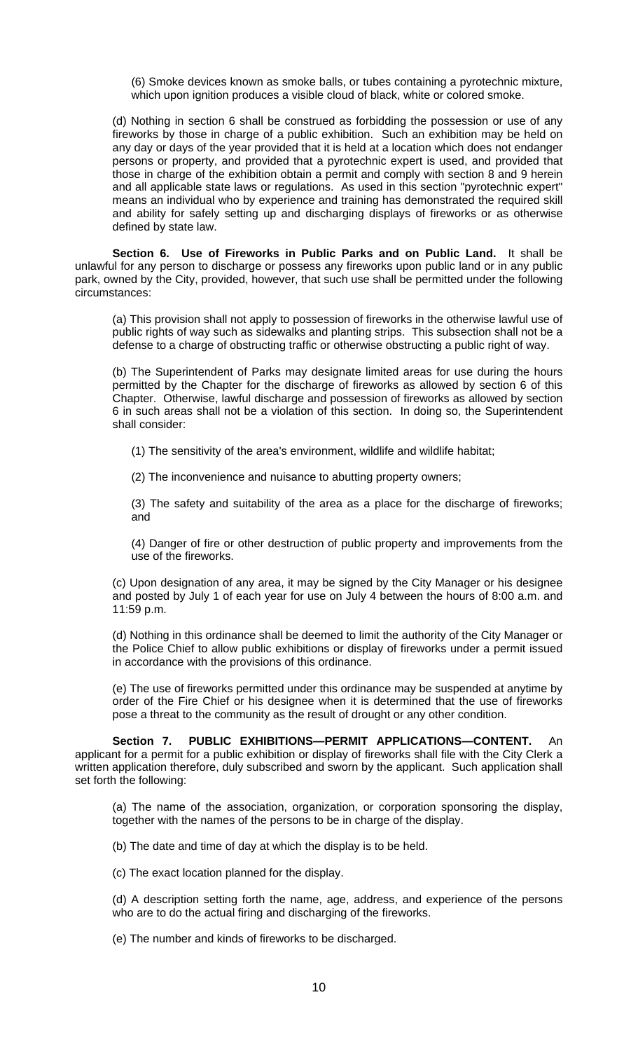(6) Smoke devices known as smoke balls, or tubes containing a pyrotechnic mixture, which upon ignition produces a visible cloud of black, white or colored smoke.

(d) Nothing in section 6 shall be construed as forbidding the possession or use of any fireworks by those in charge of a public exhibition. Such an exhibition may be held on any day or days of the year provided that it is held at a location which does not endanger persons or property, and provided that a pyrotechnic expert is used, and provided that those in charge of the exhibition obtain a permit and comply with section 8 and 9 herein and all applicable state laws or regulations. As used in this section "pyrotechnic expert" means an individual who by experience and training has demonstrated the required skill and ability for safely setting up and discharging displays of fireworks or as otherwise defined by state law.

**Section 6. Use of Fireworks in Public Parks and on Public Land.** It shall be unlawful for any person to discharge or possess any fireworks upon public land or in any public park, owned by the City, provided, however, that such use shall be permitted under the following circumstances:

(a) This provision shall not apply to possession of fireworks in the otherwise lawful use of public rights of way such as sidewalks and planting strips. This subsection shall not be a defense to a charge of obstructing traffic or otherwise obstructing a public right of way.

(b) The Superintendent of Parks may designate limited areas for use during the hours permitted by the Chapter for the discharge of fireworks as allowed by section 6 of this Chapter. Otherwise, lawful discharge and possession of fireworks as allowed by section 6 in such areas shall not be a violation of this section. In doing so, the Superintendent shall consider:

(1) The sensitivity of the area's environment, wildlife and wildlife habitat;

(2) The inconvenience and nuisance to abutting property owners;

(3) The safety and suitability of the area as a place for the discharge of fireworks; and

(4) Danger of fire or other destruction of public property and improvements from the use of the fireworks.

(c) Upon designation of any area, it may be signed by the City Manager or his designee and posted by July 1 of each year for use on July 4 between the hours of 8:00 a.m. and 11:59 p.m.

(d) Nothing in this ordinance shall be deemed to limit the authority of the City Manager or the Police Chief to allow public exhibitions or display of fireworks under a permit issued in accordance with the provisions of this ordinance.

(e) The use of fireworks permitted under this ordinance may be suspended at anytime by order of the Fire Chief or his designee when it is determined that the use of fireworks pose a threat to the community as the result of drought or any other condition.

**Section 7. PUBLIC EXHIBITIONS—PERMIT APPLICATIONS—CONTENT.** An applicant for a permit for a public exhibition or display of fireworks shall file with the City Clerk a written application therefore, duly subscribed and sworn by the applicant. Such application shall set forth the following:

(a) The name of the association, organization, or corporation sponsoring the display, together with the names of the persons to be in charge of the display.

(b) The date and time of day at which the display is to be held.

(c) The exact location planned for the display.

(d) A description setting forth the name, age, address, and experience of the persons who are to do the actual firing and discharging of the fireworks.

(e) The number and kinds of fireworks to be discharged.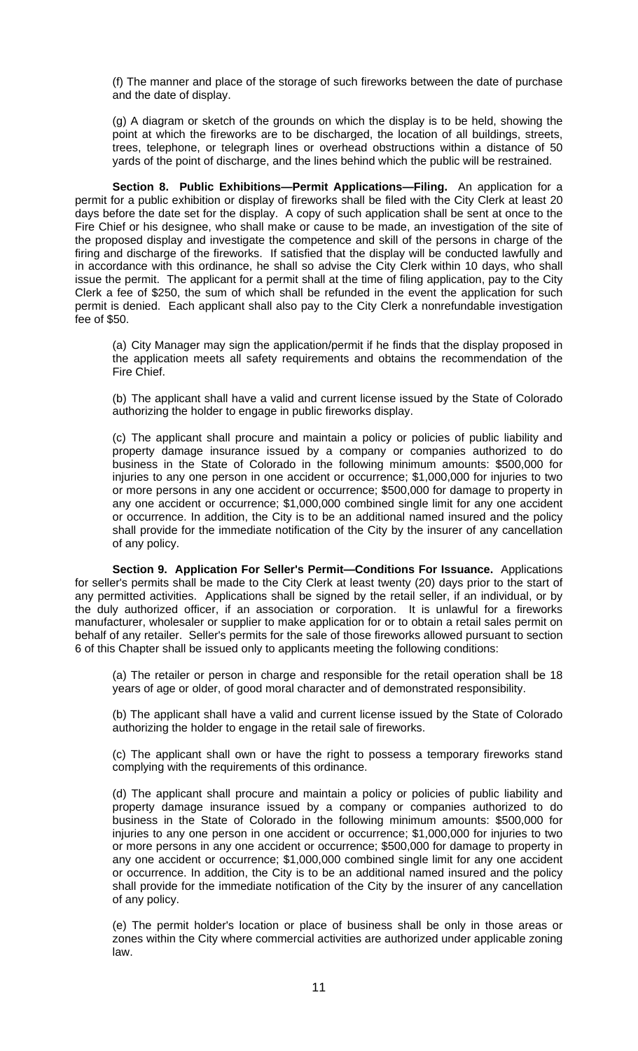(f) The manner and place of the storage of such fireworks between the date of purchase and the date of display.

(g) A diagram or sketch of the grounds on which the display is to be held, showing the point at which the fireworks are to be discharged, the location of all buildings, streets, trees, telephone, or telegraph lines or overhead obstructions within a distance of 50 yards of the point of discharge, and the lines behind which the public will be restrained.

**Section 8. Public Exhibitions—Permit Applications—Filing.** An application for a permit for a public exhibition or display of fireworks shall be filed with the City Clerk at least 20 days before the date set for the display. A copy of such application shall be sent at once to the Fire Chief or his designee, who shall make or cause to be made, an investigation of the site of the proposed display and investigate the competence and skill of the persons in charge of the firing and discharge of the fireworks. If satisfied that the display will be conducted lawfully and in accordance with this ordinance, he shall so advise the City Clerk within 10 days, who shall issue the permit. The applicant for a permit shall at the time of filing application, pay to the City Clerk a fee of \$250, the sum of which shall be refunded in the event the application for such permit is denied. Each applicant shall also pay to the City Clerk a nonrefundable investigation fee of \$50.

(a) City Manager may sign the application/permit if he finds that the display proposed in the application meets all safety requirements and obtains the recommendation of the Fire Chief.

(b) The applicant shall have a valid and current license issued by the State of Colorado authorizing the holder to engage in public fireworks display.

(c) The applicant shall procure and maintain a policy or policies of public liability and property damage insurance issued by a company or companies authorized to do business in the State of Colorado in the following minimum amounts: \$500,000 for injuries to any one person in one accident or occurrence; \$1,000,000 for injuries to two or more persons in any one accident or occurrence; \$500,000 for damage to property in any one accident or occurrence; \$1,000,000 combined single limit for any one accident or occurrence. In addition, the City is to be an additional named insured and the policy shall provide for the immediate notification of the City by the insurer of any cancellation of any policy.

**Section 9. Application For Seller's Permit—Conditions For Issuance.** Applications for seller's permits shall be made to the City Clerk at least twenty (20) days prior to the start of any permitted activities. Applications shall be signed by the retail seller, if an individual, or by the duly authorized officer, if an association or corporation. It is unlawful for a fireworks manufacturer, wholesaler or supplier to make application for or to obtain a retail sales permit on behalf of any retailer. Seller's permits for the sale of those fireworks allowed pursuant to section 6 of this Chapter shall be issued only to applicants meeting the following conditions:

(a) The retailer or person in charge and responsible for the retail operation shall be 18 years of age or older, of good moral character and of demonstrated responsibility.

(b) The applicant shall have a valid and current license issued by the State of Colorado authorizing the holder to engage in the retail sale of fireworks.

(c) The applicant shall own or have the right to possess a temporary fireworks stand complying with the requirements of this ordinance.

(d) The applicant shall procure and maintain a policy or policies of public liability and property damage insurance issued by a company or companies authorized to do business in the State of Colorado in the following minimum amounts: \$500,000 for injuries to any one person in one accident or occurrence; \$1,000,000 for injuries to two or more persons in any one accident or occurrence; \$500,000 for damage to property in any one accident or occurrence; \$1,000,000 combined single limit for any one accident or occurrence. In addition, the City is to be an additional named insured and the policy shall provide for the immediate notification of the City by the insurer of any cancellation of any policy.

(e) The permit holder's location or place of business shall be only in those areas or zones within the City where commercial activities are authorized under applicable zoning law.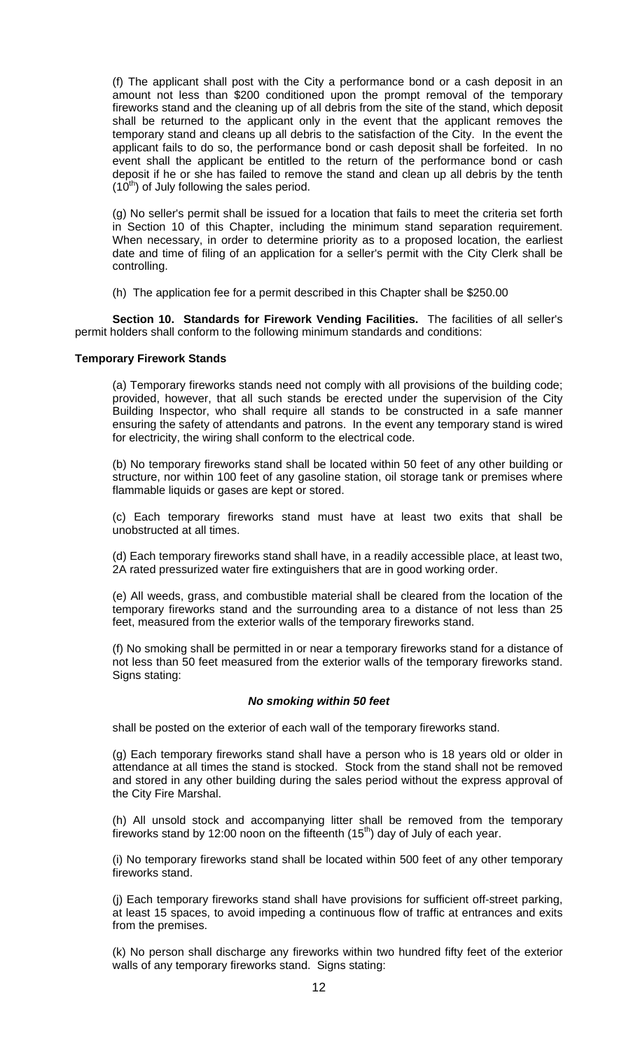(f) The applicant shall post with the City a performance bond or a cash deposit in an amount not less than \$200 conditioned upon the prompt removal of the temporary fireworks stand and the cleaning up of all debris from the site of the stand, which deposit shall be returned to the applicant only in the event that the applicant removes the temporary stand and cleans up all debris to the satisfaction of the City. In the event the applicant fails to do so, the performance bond or cash deposit shall be forfeited. In no event shall the applicant be entitled to the return of the performance bond or cash deposit if he or she has failed to remove the stand and clean up all debris by the tenth  $(10<sup>th</sup>)$  of July following the sales period.

(g) No seller's permit shall be issued for a location that fails to meet the criteria set forth in Section 10 of this Chapter, including the minimum stand separation requirement. When necessary, in order to determine priority as to a proposed location, the earliest date and time of filing of an application for a seller's permit with the City Clerk shall be controlling.

(h) The application fee for a permit described in this Chapter shall be \$250.00

**Section 10. Standards for Firework Vending Facilities.** The facilities of all seller's permit holders shall conform to the following minimum standards and conditions:

#### **Temporary Firework Stands**

(a) Temporary fireworks stands need not comply with all provisions of the building code; provided, however, that all such stands be erected under the supervision of the City Building Inspector, who shall require all stands to be constructed in a safe manner ensuring the safety of attendants and patrons. In the event any temporary stand is wired for electricity, the wiring shall conform to the electrical code.

(b) No temporary fireworks stand shall be located within 50 feet of any other building or structure, nor within 100 feet of any gasoline station, oil storage tank or premises where flammable liquids or gases are kept or stored.

(c) Each temporary fireworks stand must have at least two exits that shall be unobstructed at all times.

(d) Each temporary fireworks stand shall have, in a readily accessible place, at least two, 2A rated pressurized water fire extinguishers that are in good working order.

(e) All weeds, grass, and combustible material shall be cleared from the location of the temporary fireworks stand and the surrounding area to a distance of not less than 25 feet, measured from the exterior walls of the temporary fireworks stand.

(f) No smoking shall be permitted in or near a temporary fireworks stand for a distance of not less than 50 feet measured from the exterior walls of the temporary fireworks stand. Signs stating:

#### *No smoking within 50 feet*

shall be posted on the exterior of each wall of the temporary fireworks stand.

(g) Each temporary fireworks stand shall have a person who is 18 years old or older in attendance at all times the stand is stocked. Stock from the stand shall not be removed and stored in any other building during the sales period without the express approval of the City Fire Marshal.

(h) All unsold stock and accompanying litter shall be removed from the temporary fireworks stand by 12:00 noon on the fifteenth  $(15<sup>th</sup>)$  day of July of each year.

(i) No temporary fireworks stand shall be located within 500 feet of any other temporary fireworks stand.

(j) Each temporary fireworks stand shall have provisions for sufficient off-street parking, at least 15 spaces, to avoid impeding a continuous flow of traffic at entrances and exits from the premises.

(k) No person shall discharge any fireworks within two hundred fifty feet of the exterior walls of any temporary fireworks stand. Signs stating: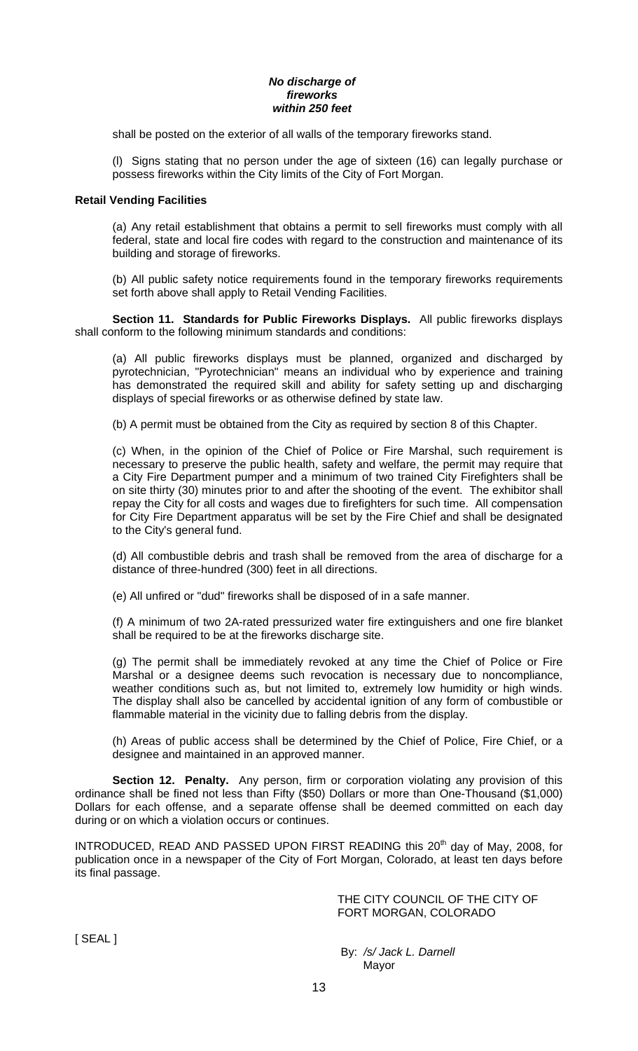#### *No discharge of fireworks within 250 feet*

shall be posted on the exterior of all walls of the temporary fireworks stand.

(l) Signs stating that no person under the age of sixteen (16) can legally purchase or possess fireworks within the City limits of the City of Fort Morgan.

## **Retail Vending Facilities**

(a) Any retail establishment that obtains a permit to sell fireworks must comply with all federal, state and local fire codes with regard to the construction and maintenance of its building and storage of fireworks.

(b) All public safety notice requirements found in the temporary fireworks requirements set forth above shall apply to Retail Vending Facilities.

**Section 11. Standards for Public Fireworks Displays.** All public fireworks displays shall conform to the following minimum standards and conditions:

(a) All public fireworks displays must be planned, organized and discharged by pyrotechnician, "Pyrotechnician" means an individual who by experience and training has demonstrated the required skill and ability for safety setting up and discharging displays of special fireworks or as otherwise defined by state law.

(b) A permit must be obtained from the City as required by section 8 of this Chapter.

(c) When, in the opinion of the Chief of Police or Fire Marshal, such requirement is necessary to preserve the public health, safety and welfare, the permit may require that a City Fire Department pumper and a minimum of two trained City Firefighters shall be on site thirty (30) minutes prior to and after the shooting of the event. The exhibitor shall repay the City for all costs and wages due to firefighters for such time. All compensation for City Fire Department apparatus will be set by the Fire Chief and shall be designated to the City's general fund.

(d) All combustible debris and trash shall be removed from the area of discharge for a distance of three-hundred (300) feet in all directions.

(e) All unfired or "dud" fireworks shall be disposed of in a safe manner.

(f) A minimum of two 2A-rated pressurized water fire extinguishers and one fire blanket shall be required to be at the fireworks discharge site.

(g) The permit shall be immediately revoked at any time the Chief of Police or Fire Marshal or a designee deems such revocation is necessary due to noncompliance, weather conditions such as, but not limited to, extremely low humidity or high winds. The display shall also be cancelled by accidental ignition of any form of combustible or flammable material in the vicinity due to falling debris from the display.

(h) Areas of public access shall be determined by the Chief of Police, Fire Chief, or a designee and maintained in an approved manner.

**Section 12. Penalty.** Any person, firm or corporation violating any provision of this ordinance shall be fined not less than Fifty (\$50) Dollars or more than One-Thousand (\$1,000) Dollars for each offense, and a separate offense shall be deemed committed on each day during or on which a violation occurs or continues.

INTRODUCED, READ AND PASSED UPON FIRST READING this  $20<sup>th</sup>$  day of May, 2008, for publication once in a newspaper of the City of Fort Morgan, Colorado, at least ten days before its final passage.

> THE CITY COUNCIL OF THE CITY OF FORT MORGAN, COLORADO

[ SEAL ]

 By: */s/ Jack L. Darnell*  Mayor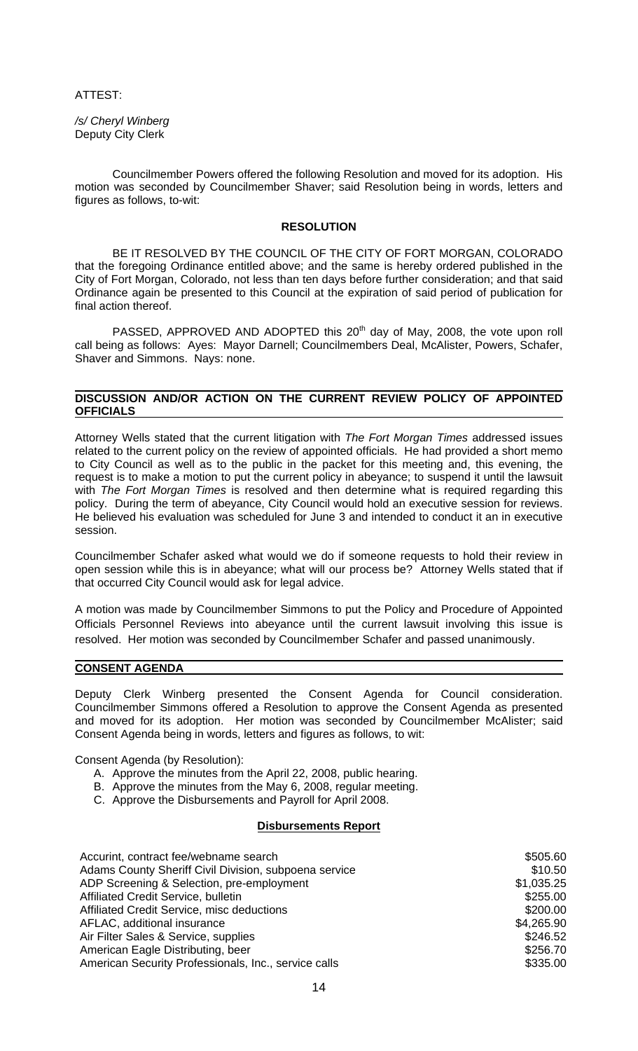ATTEST:

*/s/ Cheryl Winberg* Deputy City Clerk

 Councilmember Powers offered the following Resolution and moved for its adoption. His motion was seconded by Councilmember Shaver; said Resolution being in words, letters and figures as follows, to-wit:

## **RESOLUTION**

 BE IT RESOLVED BY THE COUNCIL OF THE CITY OF FORT MORGAN, COLORADO that the foregoing Ordinance entitled above; and the same is hereby ordered published in the City of Fort Morgan, Colorado, not less than ten days before further consideration; and that said Ordinance again be presented to this Council at the expiration of said period of publication for final action thereof.

PASSED, APPROVED AND ADOPTED this 20<sup>th</sup> day of May, 2008, the vote upon roll call being as follows: Ayes: Mayor Darnell; Councilmembers Deal, McAlister, Powers, Schafer, Shaver and Simmons. Nays: none.

#### **DISCUSSION AND/OR ACTION ON THE CURRENT REVIEW POLICY OF APPOINTED OFFICIALS**

Attorney Wells stated that the current litigation with *The Fort Morgan Times* addressed issues related to the current policy on the review of appointed officials. He had provided a short memo to City Council as well as to the public in the packet for this meeting and, this evening, the request is to make a motion to put the current policy in abeyance; to suspend it until the lawsuit with *The Fort Morgan Times* is resolved and then determine what is required regarding this policy. During the term of abeyance, City Council would hold an executive session for reviews. He believed his evaluation was scheduled for June 3 and intended to conduct it an in executive session.

Councilmember Schafer asked what would we do if someone requests to hold their review in open session while this is in abeyance; what will our process be? Attorney Wells stated that if that occurred City Council would ask for legal advice.

A motion was made by Councilmember Simmons to put the Policy and Procedure of Appointed Officials Personnel Reviews into abeyance until the current lawsuit involving this issue is resolved. Her motion was seconded by Councilmember Schafer and passed unanimously.

### **CONSENT AGENDA**

Deputy Clerk Winberg presented the Consent Agenda for Council consideration. Councilmember Simmons offered a Resolution to approve the Consent Agenda as presented and moved for its adoption. Her motion was seconded by Councilmember McAlister; said Consent Agenda being in words, letters and figures as follows, to wit:

Consent Agenda (by Resolution):

- A. Approve the minutes from the April 22, 2008, public hearing.
- B. Approve the minutes from the May 6, 2008, regular meeting.
- C. Approve the Disbursements and Payroll for April 2008.

#### **Disbursements Report**

| Accurint, contract fee/webname search                 | \$505.60   |
|-------------------------------------------------------|------------|
| Adams County Sheriff Civil Division, subpoena service | \$10.50    |
| ADP Screening & Selection, pre-employment             | \$1,035.25 |
| Affiliated Credit Service, bulletin                   | \$255.00   |
| Affiliated Credit Service, misc deductions            | \$200.00   |
| AFLAC, additional insurance                           | \$4,265.90 |
| Air Filter Sales & Service, supplies                  | \$246.52   |
| American Eagle Distributing, beer                     | \$256.70   |
| American Security Professionals, Inc., service calls  | \$335.00   |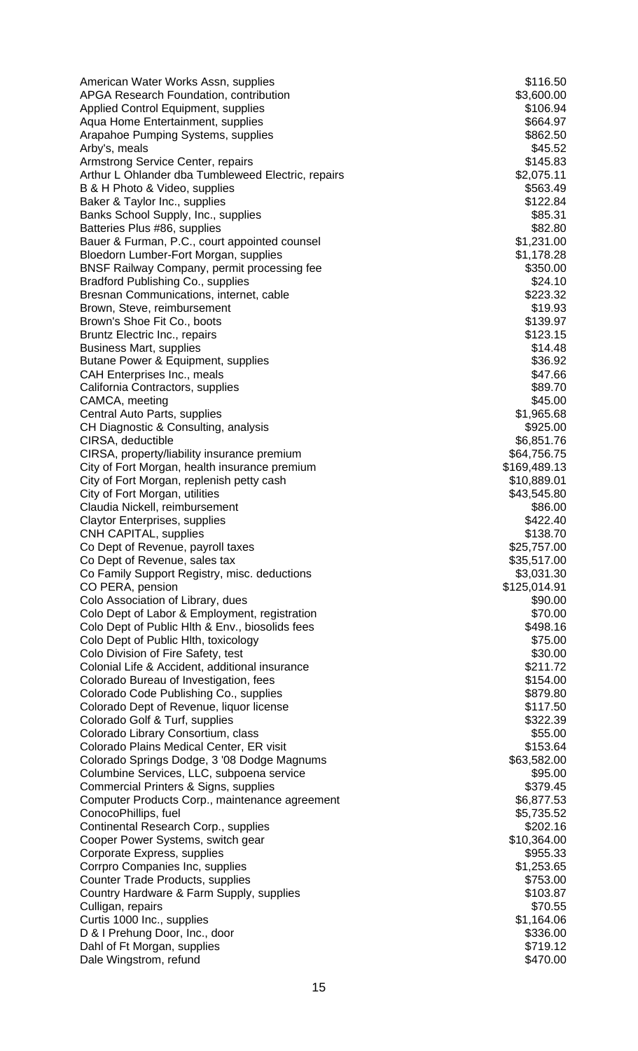| American Water Works Assn, supplies                                                         | \$116.50                   |
|---------------------------------------------------------------------------------------------|----------------------------|
| APGA Research Foundation, contribution                                                      | \$3,600.00                 |
| <b>Applied Control Equipment, supplies</b>                                                  | \$106.94                   |
| Aqua Home Entertainment, supplies                                                           | \$664.97                   |
| Arapahoe Pumping Systems, supplies<br>Arby's, meals                                         | \$862.50<br>\$45.52        |
| Armstrong Service Center, repairs                                                           | \$145.83                   |
| Arthur L Ohlander dba Tumbleweed Electric, repairs                                          | \$2,075.11                 |
| B & H Photo & Video, supplies                                                               | \$563.49                   |
| Baker & Taylor Inc., supplies                                                               | \$122.84                   |
| Banks School Supply, Inc., supplies                                                         | \$85.31                    |
| Batteries Plus #86, supplies                                                                | \$82.80                    |
| Bauer & Furman, P.C., court appointed counsel                                               | \$1,231.00                 |
| Bloedorn Lumber-Fort Morgan, supplies<br><b>BNSF Railway Company, permit processing fee</b> | \$1,178.28<br>\$350.00     |
| <b>Bradford Publishing Co., supplies</b>                                                    | \$24.10                    |
| Bresnan Communications, internet, cable                                                     | \$223.32                   |
| Brown, Steve, reimbursement                                                                 | \$19.93                    |
| Brown's Shoe Fit Co., boots                                                                 | \$139.97                   |
| Bruntz Electric Inc., repairs                                                               | \$123.15                   |
| <b>Business Mart, supplies</b>                                                              | \$14.48                    |
| Butane Power & Equipment, supplies                                                          | \$36.92                    |
| CAH Enterprises Inc., meals                                                                 | \$47.66                    |
| California Contractors, supplies                                                            | \$89.70                    |
| CAMCA, meeting                                                                              | \$45.00                    |
| Central Auto Parts, supplies                                                                | \$1,965.68<br>\$925.00     |
| CH Diagnostic & Consulting, analysis<br>CIRSA, deductible                                   | \$6,851.76                 |
| CIRSA, property/liability insurance premium                                                 | \$64,756.75                |
| City of Fort Morgan, health insurance premium                                               | \$169,489.13               |
| City of Fort Morgan, replenish petty cash                                                   | \$10,889.01                |
| City of Fort Morgan, utilities                                                              | \$43,545.80                |
| Claudia Nickell, reimbursement                                                              | \$86.00                    |
| <b>Claytor Enterprises, supplies</b>                                                        | \$422.40                   |
| <b>CNH CAPITAL, supplies</b>                                                                | \$138.70                   |
| Co Dept of Revenue, payroll taxes                                                           | \$25,757.00                |
| Co Dept of Revenue, sales tax                                                               | \$35,517.00                |
| Co Family Support Registry, misc. deductions<br>CO PERA, pension                            | \$3,031.30<br>\$125,014.91 |
| Colo Association of Library, dues                                                           | \$90.00                    |
| Colo Dept of Labor & Employment, registration                                               | \$70.00                    |
| Colo Dept of Public Hith & Env., biosolids fees                                             | \$498.16                   |
| Colo Dept of Public Hith, toxicology                                                        | \$75.00                    |
| Colo Division of Fire Safety, test                                                          | \$30.00                    |
| Colonial Life & Accident, additional insurance                                              | \$211.72                   |
| Colorado Bureau of Investigation, fees                                                      | \$154.00                   |
| Colorado Code Publishing Co., supplies                                                      | \$879.80                   |
| Colorado Dept of Revenue, liquor license                                                    | \$117.50                   |
| Colorado Golf & Turf, supplies                                                              | \$322.39                   |
| Colorado Library Consortium, class<br>Colorado Plains Medical Center, ER visit              | \$55.00<br>\$153.64        |
| Colorado Springs Dodge, 3 '08 Dodge Magnums                                                 | \$63,582.00                |
| Columbine Services, LLC, subpoena service                                                   | \$95.00                    |
| Commercial Printers & Signs, supplies                                                       | \$379.45                   |
| Computer Products Corp., maintenance agreement                                              | \$6,877.53                 |
| ConocoPhillips, fuel                                                                        | \$5,735.52                 |
| Continental Research Corp., supplies                                                        | \$202.16                   |
| Cooper Power Systems, switch gear                                                           | \$10,364.00                |
| Corporate Express, supplies                                                                 | \$955.33                   |
| Corrpro Companies Inc, supplies                                                             | \$1,253.65                 |
| Counter Trade Products, supplies                                                            | \$753.00                   |
| Country Hardware & Farm Supply, supplies                                                    | \$103.87<br>\$70.55        |
| Culligan, repairs<br>Curtis 1000 Inc., supplies                                             | \$1,164.06                 |
| D & I Prehung Door, Inc., door                                                              | \$336.00                   |
| Dahl of Ft Morgan, supplies                                                                 | \$719.12                   |
| Dale Wingstrom, refund                                                                      | \$470.00                   |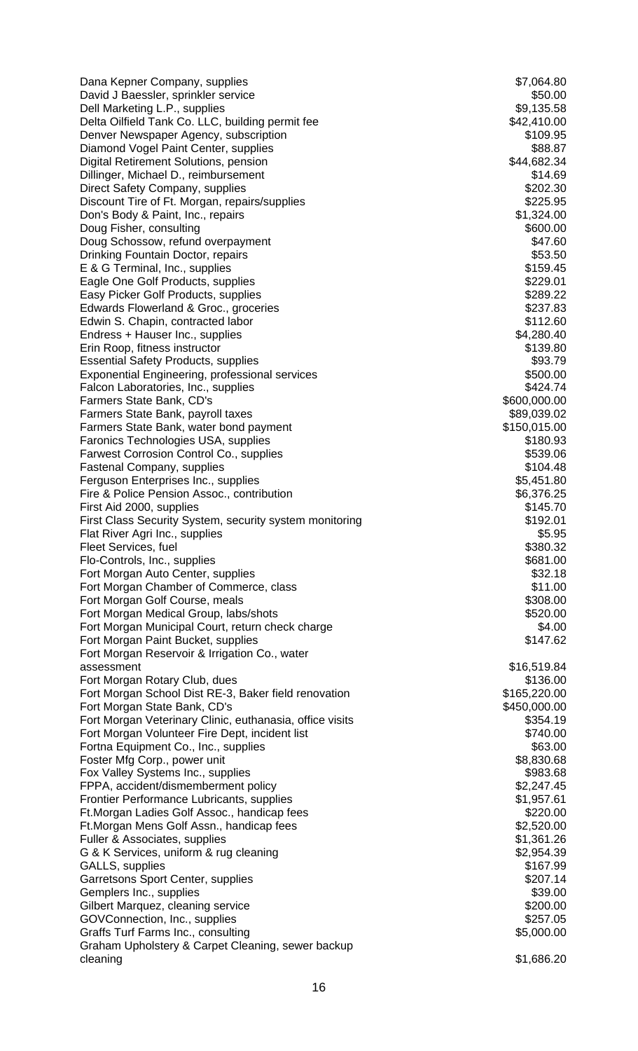| Dana Kepner Company, supplies                                                         | \$7,064.80                   |
|---------------------------------------------------------------------------------------|------------------------------|
| David J Baessler, sprinkler service                                                   | \$50.00                      |
| Dell Marketing L.P., supplies                                                         | \$9,135.58                   |
| Delta Oilfield Tank Co. LLC, building permit fee                                      | \$42,410.00                  |
| Denver Newspaper Agency, subscription                                                 | \$109.95<br>\$88.87          |
| Diamond Vogel Paint Center, supplies<br>Digital Retirement Solutions, pension         | \$44,682.34                  |
| Dillinger, Michael D., reimbursement                                                  | \$14.69                      |
| Direct Safety Company, supplies                                                       | \$202.30                     |
| Discount Tire of Ft. Morgan, repairs/supplies                                         | \$225.95                     |
| Don's Body & Paint, Inc., repairs                                                     | \$1,324.00                   |
| Doug Fisher, consulting                                                               | \$600.00                     |
| Doug Schossow, refund overpayment                                                     | \$47.60                      |
| Drinking Fountain Doctor, repairs                                                     | \$53.50                      |
| E & G Terminal, Inc., supplies                                                        | \$159.45                     |
| Eagle One Golf Products, supplies                                                     | \$229.01                     |
| Easy Picker Golf Products, supplies                                                   | \$289.22                     |
| Edwards Flowerland & Groc., groceries                                                 | \$237.83                     |
| Edwin S. Chapin, contracted labor                                                     | \$112.60                     |
| Endress + Hauser Inc., supplies                                                       | \$4,280.40                   |
| Erin Roop, fitness instructor                                                         | \$139.80                     |
| <b>Essential Safety Products, supplies</b>                                            | \$93.79                      |
| <b>Exponential Engineering, professional services</b>                                 | \$500.00                     |
| Falcon Laboratories, Inc., supplies                                                   | \$424.74                     |
| Farmers State Bank, CD's                                                              | \$600,000.00                 |
| Farmers State Bank, payroll taxes                                                     | \$89,039.02                  |
| Farmers State Bank, water bond payment                                                | \$150,015.00                 |
| Faronics Technologies USA, supplies<br><b>Farwest Corrosion Control Co., supplies</b> | \$180.93<br>\$539.06         |
| <b>Fastenal Company, supplies</b>                                                     | \$104.48                     |
| Ferguson Enterprises Inc., supplies                                                   | \$5,451.80                   |
| Fire & Police Pension Assoc., contribution                                            | \$6,376.25                   |
| First Aid 2000, supplies                                                              | \$145.70                     |
| First Class Security System, security system monitoring                               | \$192.01                     |
| Flat River Agri Inc., supplies                                                        | \$5.95                       |
| Fleet Services, fuel                                                                  | \$380.32                     |
| Flo-Controls, Inc., supplies                                                          | \$681.00                     |
| Fort Morgan Auto Center, supplies                                                     | \$32.18                      |
| Fort Morgan Chamber of Commerce, class                                                | \$11.00                      |
| Fort Morgan Golf Course, meals                                                        | \$308.00                     |
| Fort Morgan Medical Group, labs/shots                                                 | \$520.00                     |
| Fort Morgan Municipal Court, return check charge                                      | \$4.00                       |
| Fort Morgan Paint Bucket, supplies                                                    | \$147.62                     |
| Fort Morgan Reservoir & Irrigation Co., water                                         |                              |
| assessment                                                                            | \$16,519.84                  |
| Fort Morgan Rotary Club, dues                                                         | \$136.00                     |
| Fort Morgan School Dist RE-3, Baker field renovation<br>Fort Morgan State Bank, CD's  | \$165,220.00<br>\$450,000.00 |
| Fort Morgan Veterinary Clinic, euthanasia, office visits                              | \$354.19                     |
| Fort Morgan Volunteer Fire Dept, incident list                                        | \$740.00                     |
| Fortna Equipment Co., Inc., supplies                                                  | \$63.00                      |
| Foster Mfg Corp., power unit                                                          | \$8,830.68                   |
| Fox Valley Systems Inc., supplies                                                     | \$983.68                     |
| FPPA, accident/dismemberment policy                                                   | \$2,247.45                   |
| <b>Frontier Performance Lubricants, supplies</b>                                      | \$1,957.61                   |
| Ft. Morgan Ladies Golf Assoc., handicap fees                                          | \$220.00                     |
| Ft. Morgan Mens Golf Assn., handicap fees                                             | \$2,520.00                   |
| Fuller & Associates, supplies                                                         | \$1,361.26                   |
| G & K Services, uniform & rug cleaning                                                | \$2,954.39                   |
| GALLS, supplies                                                                       | \$167.99                     |
| Garretsons Sport Center, supplies                                                     | \$207.14                     |
| Gemplers Inc., supplies                                                               | \$39.00                      |
| Gilbert Marquez, cleaning service                                                     | \$200.00                     |
| GOVConnection, Inc., supplies                                                         | \$257.05                     |
| Graffs Turf Farms Inc., consulting                                                    | \$5,000.00                   |
| Graham Upholstery & Carpet Cleaning, sewer backup                                     |                              |
| cleaning                                                                              | \$1,686.20                   |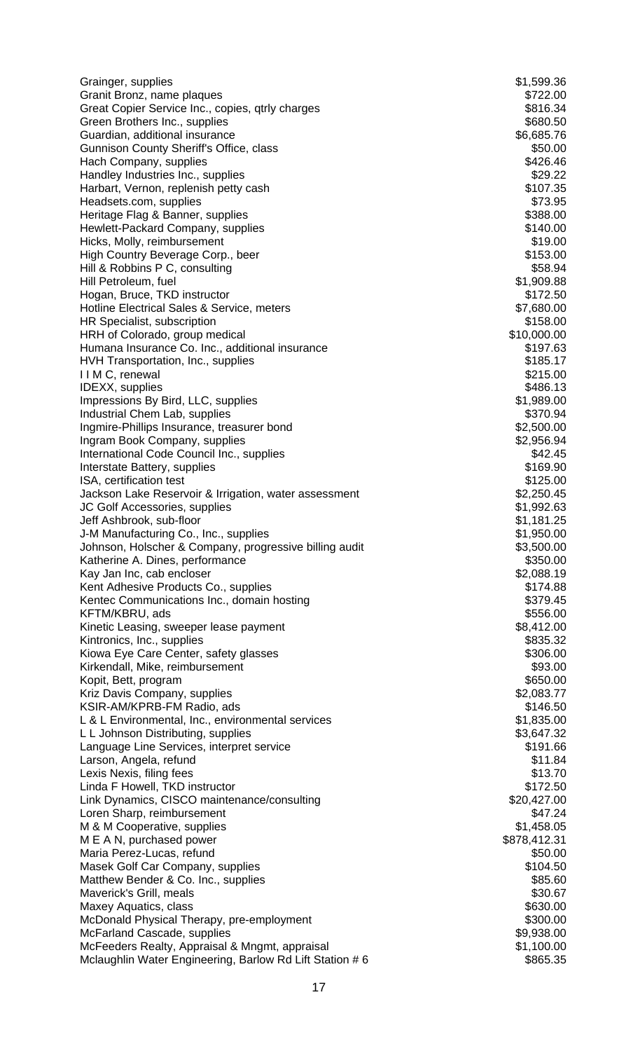| Grainger, supplies                                                         | \$1,599.36             |
|----------------------------------------------------------------------------|------------------------|
| Granit Bronz, name plaques                                                 | \$722.00               |
| Great Copier Service Inc., copies, qtrly charges                           | \$816.34<br>\$680.50   |
| Green Brothers Inc., supplies<br>Guardian, additional insurance            | \$6,685.76             |
| Gunnison County Sheriff's Office, class                                    | \$50.00                |
| Hach Company, supplies                                                     | \$426.46               |
| Handley Industries Inc., supplies                                          | \$29.22                |
| Harbart, Vernon, replenish petty cash                                      | \$107.35               |
| Headsets.com, supplies                                                     | \$73.95                |
| Heritage Flag & Banner, supplies                                           | \$388.00               |
| Hewlett-Packard Company, supplies                                          | \$140.00               |
| Hicks, Molly, reimbursement                                                | \$19.00                |
| High Country Beverage Corp., beer                                          | \$153.00               |
| Hill & Robbins P C, consulting                                             | \$58.94                |
| Hill Petroleum, fuel                                                       | \$1,909.88<br>\$172.50 |
| Hogan, Bruce, TKD instructor<br>Hotline Electrical Sales & Service, meters | \$7,680.00             |
| HR Specialist, subscription                                                | \$158.00               |
| HRH of Colorado, group medical                                             | \$10,000.00            |
| Humana Insurance Co. Inc., additional insurance                            | \$197.63               |
| HVH Transportation, Inc., supplies                                         | \$185.17               |
| IIM C, renewal                                                             | \$215.00               |
| IDEXX, supplies                                                            | \$486.13               |
| Impressions By Bird, LLC, supplies                                         | \$1,989.00             |
| Industrial Chem Lab, supplies                                              | \$370.94               |
| Ingmire-Phillips Insurance, treasurer bond                                 | \$2,500.00             |
| Ingram Book Company, supplies                                              | \$2,956.94             |
| International Code Council Inc., supplies                                  | \$42.45                |
| Interstate Battery, supplies<br>ISA, certification test                    | \$169.90<br>\$125.00   |
| Jackson Lake Reservoir & Irrigation, water assessment                      | \$2,250.45             |
| JC Golf Accessories, supplies                                              | \$1,992.63             |
| Jeff Ashbrook, sub-floor                                                   | \$1,181.25             |
| J-M Manufacturing Co., Inc., supplies                                      | \$1,950.00             |
| Johnson, Holscher & Company, progressive billing audit                     | \$3,500.00             |
| Katherine A. Dines, performance                                            | \$350.00               |
| Kay Jan Inc, cab encloser                                                  | \$2,088.19             |
| Kent Adhesive Products Co., supplies                                       | \$174.88               |
| Kentec Communications Inc., domain hosting                                 | \$379.45               |
| KFTM/KBRU, ads                                                             | \$556.00               |
| Kinetic Leasing, sweeper lease payment                                     | \$8,412.00             |
| Kintronics, Inc., supplies<br>Kiowa Eye Care Center, safety glasses        | \$835.32<br>\$306.00   |
| Kirkendall, Mike, reimbursement                                            | \$93.00                |
| Kopit, Bett, program                                                       | \$650.00               |
| Kriz Davis Company, supplies                                               | \$2,083.77             |
| KSIR-AM/KPRB-FM Radio, ads                                                 | \$146.50               |
| L & L Environmental, Inc., environmental services                          | \$1,835.00             |
| L L Johnson Distributing, supplies                                         | \$3,647.32             |
| Language Line Services, interpret service                                  | \$191.66               |
| Larson, Angela, refund                                                     | \$11.84                |
| Lexis Nexis, filing fees                                                   | \$13.70                |
| Linda F Howell, TKD instructor                                             | \$172.50               |
| Link Dynamics, CISCO maintenance/consulting                                | \$20,427.00            |
| Loren Sharp, reimbursement<br>M & M Cooperative, supplies                  | \$47.24<br>\$1,458.05  |
| M E A N, purchased power                                                   | \$878,412.31           |
| Maria Perez-Lucas, refund                                                  | \$50.00                |
| Masek Golf Car Company, supplies                                           | \$104.50               |
| Matthew Bender & Co. Inc., supplies                                        | \$85.60                |
| Maverick's Grill, meals                                                    | \$30.67                |
| Maxey Aquatics, class                                                      | \$630.00               |
| McDonald Physical Therapy, pre-employment                                  | \$300.00               |
| McFarland Cascade, supplies                                                | \$9,938.00             |
| McFeeders Realty, Appraisal & Mngmt, appraisal                             | \$1,100.00             |
| Mclaughlin Water Engineering, Barlow Rd Lift Station #6                    | \$865.35               |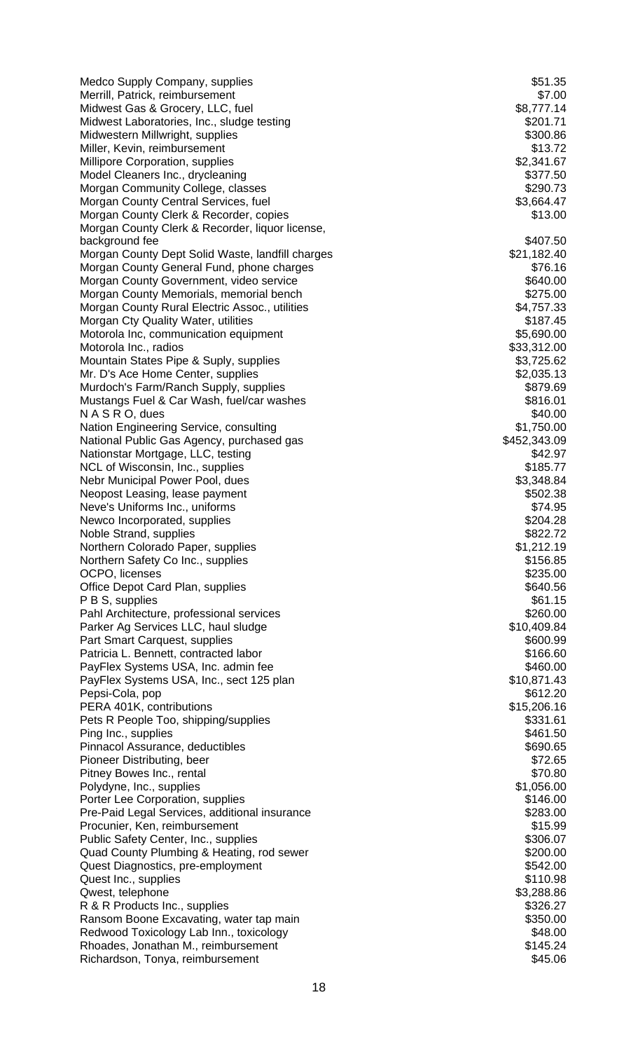| Medco Supply Company, supplies                                                    | \$51.35                   |
|-----------------------------------------------------------------------------------|---------------------------|
| Merrill, Patrick, reimbursement                                                   | \$7.00                    |
| Midwest Gas & Grocery, LLC, fuel                                                  | \$8,777.14                |
| Midwest Laboratories, Inc., sludge testing<br>Midwestern Millwright, supplies     | \$201.71<br>\$300.86      |
| Miller, Kevin, reimbursement                                                      | \$13.72                   |
| Millipore Corporation, supplies                                                   | \$2,341.67                |
| Model Cleaners Inc., drycleaning                                                  | \$377.50                  |
| Morgan Community College, classes                                                 | \$290.73                  |
| Morgan County Central Services, fuel                                              | \$3,664.47                |
| Morgan County Clerk & Recorder, copies                                            | \$13.00                   |
| Morgan County Clerk & Recorder, liquor license,<br>background fee                 | \$407.50                  |
| Morgan County Dept Solid Waste, landfill charges                                  | \$21,182.40               |
| Morgan County General Fund, phone charges                                         | \$76.16                   |
| Morgan County Government, video service                                           | \$640.00                  |
| Morgan County Memorials, memorial bench                                           | \$275.00                  |
| Morgan County Rural Electric Assoc., utilities                                    | \$4,757.33                |
| Morgan Cty Quality Water, utilities                                               | \$187.45                  |
| Motorola Inc, communication equipment<br>Motorola Inc., radios                    | \$5,690.00                |
| Mountain States Pipe & Suply, supplies                                            | \$33,312.00<br>\$3,725.62 |
| Mr. D's Ace Home Center, supplies                                                 | \$2,035.13                |
| Murdoch's Farm/Ranch Supply, supplies                                             | \$879.69                  |
| Mustangs Fuel & Car Wash, fuel/car washes                                         | \$816.01                  |
| N A S R O, dues                                                                   | \$40.00                   |
| Nation Engineering Service, consulting                                            | \$1,750.00                |
| National Public Gas Agency, purchased gas                                         | \$452,343.09              |
| Nationstar Mortgage, LLC, testing<br>NCL of Wisconsin, Inc., supplies             | \$42.97<br>\$185.77       |
| Nebr Municipal Power Pool, dues                                                   | \$3,348.84                |
| Neopost Leasing, lease payment                                                    | \$502.38                  |
| Neve's Uniforms Inc., uniforms                                                    | \$74.95                   |
| Newco Incorporated, supplies                                                      | \$204.28                  |
| Noble Strand, supplies                                                            | \$822.72                  |
| Northern Colorado Paper, supplies                                                 | \$1,212.19                |
| Northern Safety Co Inc., supplies                                                 | \$156.85                  |
| OCPO, licenses<br>Office Depot Card Plan, supplies                                | \$235.00<br>\$640.56      |
| P B S, supplies                                                                   | \$61.15                   |
| Pahl Architecture, professional services                                          | \$260.00                  |
| Parker Ag Services LLC, haul sludge                                               | \$10,409.84               |
| Part Smart Carquest, supplies                                                     | \$600.99                  |
| Patricia L. Bennett, contracted labor                                             | \$166.60                  |
| PayFlex Systems USA, Inc. admin fee                                               | \$460.00                  |
| PayFlex Systems USA, Inc., sect 125 plan                                          | \$10,871.43<br>\$612.20   |
| Pepsi-Cola, pop<br>PERA 401K, contributions                                       | \$15,206.16               |
| Pets R People Too, shipping/supplies                                              | \$331.61                  |
| Ping Inc., supplies                                                               | \$461.50                  |
| Pinnacol Assurance, deductibles                                                   | \$690.65                  |
| Pioneer Distributing, beer                                                        | \$72.65                   |
| Pitney Bowes Inc., rental                                                         | \$70.80                   |
| Polydyne, Inc., supplies                                                          | \$1,056.00                |
| Porter Lee Corporation, supplies<br>Pre-Paid Legal Services, additional insurance | \$146.00<br>\$283.00      |
| Procunier, Ken, reimbursement                                                     | \$15.99                   |
| Public Safety Center, Inc., supplies                                              | \$306.07                  |
| Quad County Plumbing & Heating, rod sewer                                         | \$200.00                  |
| Quest Diagnostics, pre-employment                                                 | \$542.00                  |
| Quest Inc., supplies                                                              | \$110.98                  |
| Qwest, telephone                                                                  | \$3,288.86                |
| R & R Products Inc., supplies                                                     | \$326.27                  |
| Ransom Boone Excavating, water tap main                                           | \$350.00<br>\$48.00       |
| Redwood Toxicology Lab Inn., toxicology<br>Rhoades, Jonathan M., reimbursement    | \$145.24                  |
| Richardson, Tonya, reimbursement                                                  | \$45.06                   |
|                                                                                   |                           |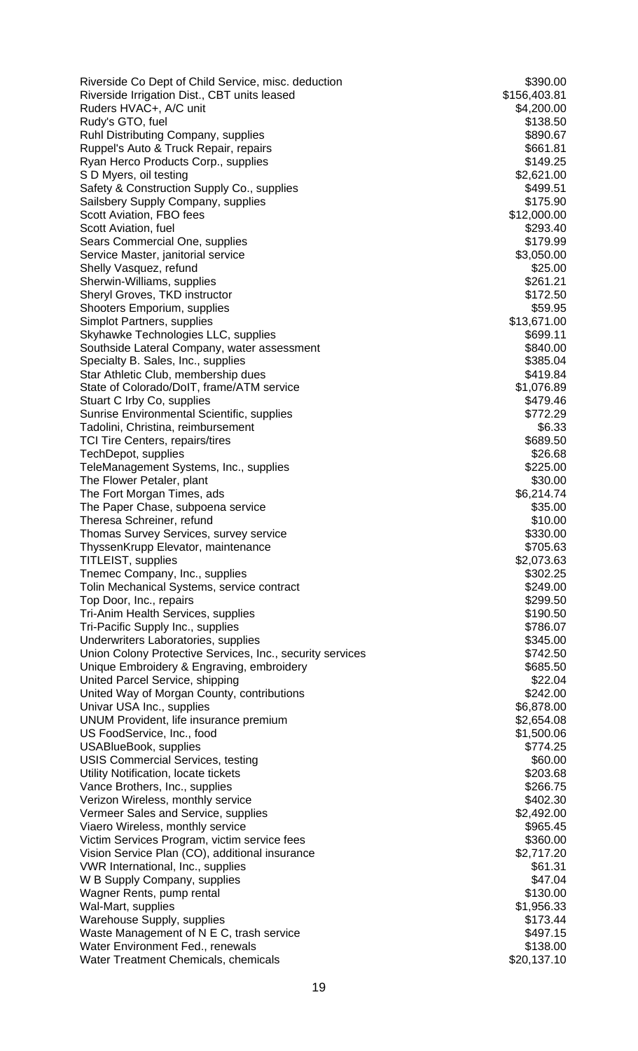| Riverside Co Dept of Child Service, misc. deduction                                                    | \$390.00             |
|--------------------------------------------------------------------------------------------------------|----------------------|
| Riverside Irrigation Dist., CBT units leased                                                           | \$156,403.81         |
| Ruders HVAC+, A/C unit                                                                                 | \$4,200.00           |
| Rudy's GTO, fuel                                                                                       | \$138.50             |
| Ruhl Distributing Company, supplies                                                                    | \$890.67             |
| Ruppel's Auto & Truck Repair, repairs                                                                  | \$661.81<br>\$149.25 |
| Ryan Herco Products Corp., supplies<br>S D Myers, oil testing                                          | \$2,621.00           |
| Safety & Construction Supply Co., supplies                                                             | \$499.51             |
| Sailsbery Supply Company, supplies                                                                     | \$175.90             |
| Scott Aviation, FBO fees                                                                               | \$12,000.00          |
| Scott Aviation, fuel                                                                                   | \$293.40             |
| Sears Commercial One, supplies                                                                         | \$179.99             |
| Service Master, janitorial service                                                                     | \$3,050.00           |
| Shelly Vasquez, refund                                                                                 | \$25.00              |
| Sherwin-Williams, supplies                                                                             | \$261.21             |
| Sheryl Groves, TKD instructor                                                                          | \$172.50             |
| Shooters Emporium, supplies                                                                            | \$59.95              |
| <b>Simplot Partners, supplies</b>                                                                      | \$13,671.00          |
| Skyhawke Technologies LLC, supplies                                                                    | \$699.11             |
| Southside Lateral Company, water assessment                                                            | \$840.00             |
| Specialty B. Sales, Inc., supplies                                                                     | \$385.04             |
| Star Athletic Club, membership dues                                                                    | \$419.84             |
| State of Colorado/DoIT, frame/ATM service                                                              | \$1,076.89           |
| Stuart C Irby Co, supplies                                                                             | \$479.46<br>\$772.29 |
| Sunrise Environmental Scientific, supplies<br>Tadolini, Christina, reimbursement                       | \$6.33               |
| TCI Tire Centers, repairs/tires                                                                        | \$689.50             |
| TechDepot, supplies                                                                                    | \$26.68              |
| TeleManagement Systems, Inc., supplies                                                                 | \$225.00             |
| The Flower Petaler, plant                                                                              | \$30.00              |
| The Fort Morgan Times, ads                                                                             | \$6,214.74           |
| The Paper Chase, subpoena service                                                                      | \$35.00              |
| Theresa Schreiner, refund                                                                              | \$10.00              |
| Thomas Survey Services, survey service                                                                 | \$330.00             |
| ThyssenKrupp Elevator, maintenance                                                                     | \$705.63             |
| <b>TITLEIST, supplies</b>                                                                              | \$2,073.63           |
| Themec Company, Inc., supplies                                                                         | \$302.25             |
| Tolin Mechanical Systems, service contract                                                             | \$249.00             |
| Top Door, Inc., repairs                                                                                | \$299.50             |
| <b>Tri-Anim Health Services, supplies</b>                                                              | \$190.50             |
| Tri-Pacific Supply Inc., supplies                                                                      | \$786.07             |
| Underwriters Laboratories, supplies                                                                    | \$345.00             |
| Union Colony Protective Services, Inc., security services<br>Unique Embroidery & Engraving, embroidery | \$742.50<br>\$685.50 |
| United Parcel Service, shipping                                                                        | \$22.04              |
| United Way of Morgan County, contributions                                                             | \$242.00             |
| Univar USA Inc., supplies                                                                              | \$6,878.00           |
| UNUM Provident, life insurance premium                                                                 | \$2,654.08           |
| US FoodService, Inc., food                                                                             | \$1,500.06           |
| <b>USABlueBook, supplies</b>                                                                           | \$774.25             |
| <b>USIS Commercial Services, testing</b>                                                               | \$60.00              |
| Utility Notification, locate tickets                                                                   | \$203.68             |
| Vance Brothers, Inc., supplies                                                                         | \$266.75             |
| Verizon Wireless, monthly service                                                                      | \$402.30             |
| Vermeer Sales and Service, supplies                                                                    | \$2,492.00           |
| Viaero Wireless, monthly service                                                                       | \$965.45             |
| Victim Services Program, victim service fees                                                           | \$360.00             |
| Vision Service Plan (CO), additional insurance                                                         | \$2,717.20           |
| VWR International, Inc., supplies                                                                      | \$61.31              |
| W B Supply Company, supplies                                                                           | \$47.04              |
| Wagner Rents, pump rental                                                                              | \$130.00             |
| Wal-Mart, supplies                                                                                     | \$1,956.33           |
| <b>Warehouse Supply, supplies</b>                                                                      | \$173.44<br>\$497.15 |
| Waste Management of N E C, trash service<br>Water Environment Fed., renewals                           | \$138.00             |
| Water Treatment Chemicals, chemicals                                                                   | \$20,137.10          |
|                                                                                                        |                      |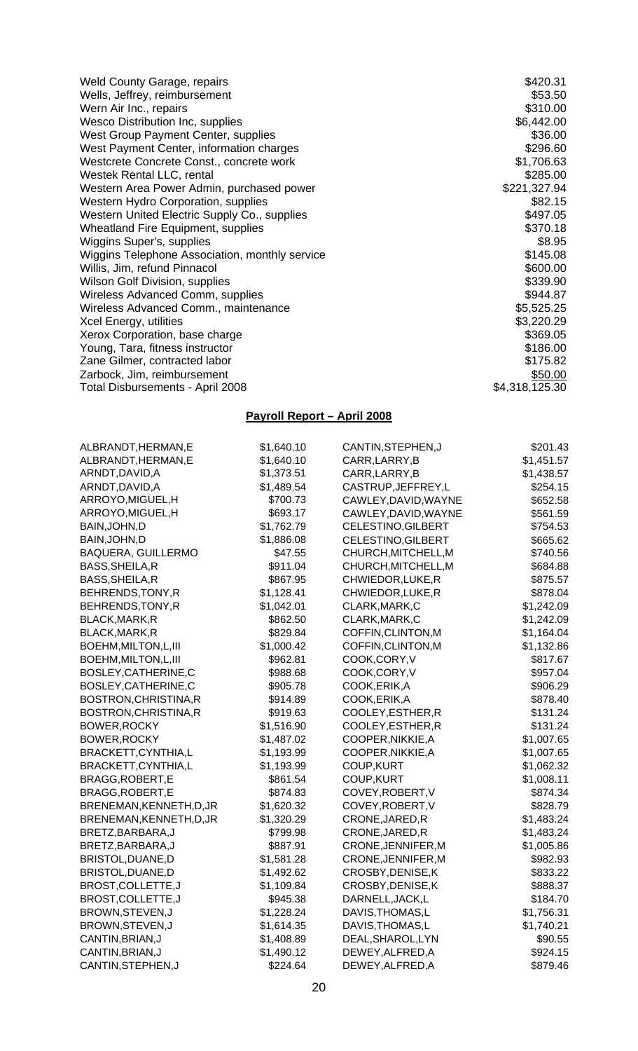| <b>Weld County Garage, repairs</b>             | \$420.31       |
|------------------------------------------------|----------------|
| Wells, Jeffrey, reimbursement                  | \$53.50        |
| Wern Air Inc., repairs                         | \$310.00       |
| <b>Wesco Distribution Inc, supplies</b>        | \$6,442.00     |
| West Group Payment Center, supplies            | \$36.00        |
| West Payment Center, information charges       | \$296.60       |
| Westcrete Concrete Const., concrete work       | \$1,706.63     |
| Westek Rental LLC, rental                      | \$285.00       |
| Western Area Power Admin, purchased power      | \$221,327.94   |
| <b>Western Hydro Corporation, supplies</b>     | \$82.15        |
| Western United Electric Supply Co., supplies   | \$497.05       |
| <b>Wheatland Fire Equipment, supplies</b>      | \$370.18       |
| Wiggins Super's, supplies                      | \$8.95         |
| Wiggins Telephone Association, monthly service | \$145.08       |
| Willis, Jim, refund Pinnacol                   | \$600.00       |
| Wilson Golf Division, supplies                 | \$339.90       |
| Wireless Advanced Comm, supplies               | \$944.87       |
| Wireless Advanced Comm., maintenance           | \$5,525.25     |
| Xcel Energy, utilities                         | \$3,220.29     |
| Xerox Corporation, base charge                 | \$369.05       |
| Young, Tara, fitness instructor                | \$186.00       |
| Zane Gilmer, contracted labor                  | \$175.82       |
| Zarbock, Jim, reimbursement                    | \$50.00        |
| Total Disbursements - April 2008               | \$4,318,125.30 |
|                                                |                |

# **Payroll Report – April 2008**

| ALBRANDT,HERMAN,E         | \$1,640.10 | CANTIN, STEPHEN, J   | \$201.43   |
|---------------------------|------------|----------------------|------------|
| ALBRANDT, HERMAN, E       | \$1,640.10 | CARR, LARRY, B       | \$1,451.57 |
| ARNDT, DAVID, A           | \$1,373.51 | CARR, LARRY, B       | \$1,438.57 |
| ARNDT, DAVID, A           | \$1,489.54 | CASTRUP, JEFFREY, L  | \$254.15   |
| ARROYO, MIGUEL, H         | \$700.73   | CAWLEY, DAVID, WAYNE | \$652.58   |
| ARROYO, MIGUEL, H         | \$693.17   | CAWLEY, DAVID, WAYNE | \$561.59   |
| BAIN, JOHN, D             | \$1,762.79 | CELESTINO, GILBERT   | \$754.53   |
| BAIN, JOHN, D             | \$1,886.08 | CELESTINO, GILBERT   | \$665.62   |
| <b>BAQUERA, GUILLERMO</b> | \$47.55    | CHURCH, MITCHELL, M  | \$740.56   |
| BASS, SHEILA, R           | \$911.04   | CHURCH, MITCHELL, M  | \$684.88   |
| BASS, SHEILA, R           | \$867.95   | CHWIEDOR, LUKE, R    | \$875.57   |
| BEHRENDS, TONY, R         | \$1,128.41 | CHWIEDOR, LUKE, R    | \$878.04   |
| BEHRENDS, TONY, R         | \$1,042.01 | CLARK, MARK, C       | \$1,242.09 |
| BLACK, MARK, R            | \$862.50   | CLARK, MARK, C       | \$1,242.09 |
| BLACK, MARK, R            | \$829.84   | COFFIN, CLINTON, M   | \$1,164.04 |
| BOEHM, MILTON, L, III     | \$1,000.42 | COFFIN, CLINTON, M   | \$1,132.86 |
| BOEHM, MILTON, L, III     | \$962.81   | COOK,CORY, V         | \$817.67   |
| BOSLEY, CATHERINE, C      | \$988.68   | COOK,CORY,V          | \$957.04   |
| BOSLEY, CATHERINE, C      | \$905.78   | COOK, ERIK, A        | \$906.29   |
| BOSTRON, CHRISTINA, R     | \$914.89   | COOK, ERIK, A        | \$878.40   |
| BOSTRON, CHRISTINA, R     | \$919.63   | COOLEY, ESTHER, R    | \$131.24   |
| <b>BOWER, ROCKY</b>       | \$1,516.90 | COOLEY, ESTHER, R    | \$131.24   |
| <b>BOWER, ROCKY</b>       | \$1,487.02 | COOPER, NIKKIE, A    | \$1,007.65 |
| BRACKETT, CYNTHIA, L      | \$1,193.99 | COOPER, NIKKIE, A    | \$1,007.65 |
| BRACKETT, CYNTHIA, L      | \$1,193.99 | <b>COUP,KURT</b>     | \$1,062.32 |
| BRAGG, ROBERT, E          | \$861.54   | <b>COUP,KURT</b>     | \$1,008.11 |
| BRAGG, ROBERT, E          | \$874.83   | COVEY, ROBERT, V     | \$874.34   |
| BRENEMAN, KENNETH, D, JR  | \$1,620.32 | COVEY, ROBERT, V     | \$828.79   |
| BRENEMAN, KENNETH, D, JR  | \$1,320.29 | CRONE, JARED, R      | \$1,483.24 |
| BRETZ, BARBARA, J         | \$799.98   | CRONE, JARED, R      | \$1,483.24 |
| BRETZ, BARBARA, J         | \$887.91   | CRONE, JENNIFER, M   | \$1,005.86 |
| BRISTOL, DUANE, D         | \$1,581.28 | CRONE, JENNIFER, M   | \$982.93   |
| BRISTOL, DUANE, D         | \$1,492.62 | CROSBY, DENISE, K    | \$833.22   |
| BROST, COLLETTE, J        | \$1,109.84 | CROSBY, DENISE, K    | \$888.37   |
| BROST, COLLETTE, J        | \$945.38   | DARNELL, JACK, L     | \$184.70   |
| BROWN, STEVEN, J          | \$1,228.24 | DAVIS, THOMAS, L     | \$1,756.31 |
| BROWN, STEVEN, J          | \$1,614.35 | DAVIS, THOMAS, L     | \$1,740.21 |
| CANTIN, BRIAN, J          | \$1,408.89 | DEAL, SHAROL, LYN    | \$90.55    |
| CANTIN, BRIAN, J          | \$1,490.12 | DEWEY, ALFRED, A     | \$924.15   |
| CANTIN, STEPHEN, J        | \$224.64   | DEWEY, ALFRED, A     | \$879.46   |
|                           |            |                      |            |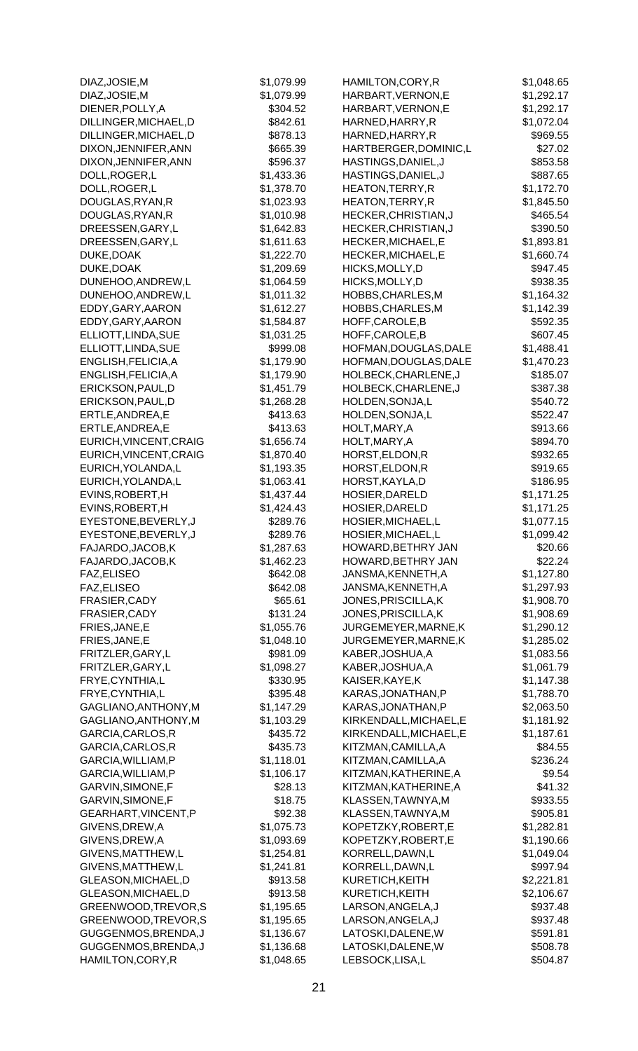| DIAZ, JOSIE, M         | \$1,079.99 | HAMILTON, CORY, R      | \$1,048.65 |
|------------------------|------------|------------------------|------------|
| DIAZ, JOSIE, M         | \$1,079.99 | HARBART, VERNON, E     | \$1,292.17 |
| DIENER, POLLY, A       | \$304.52   | HARBART, VERNON, E     | \$1,292.17 |
| DILLINGER, MICHAEL, D  | \$842.61   | HARNED, HARRY, R       | \$1,072.04 |
| DILLINGER, MICHAEL, D  | \$878.13   | HARNED, HARRY, R       | \$969.55   |
| DIXON, JENNIFER, ANN   | \$665.39   | HARTBERGER, DOMINIC, L | \$27.02    |
|                        |            |                        |            |
| DIXON, JENNIFER, ANN   | \$596.37   | HASTINGS, DANIEL, J    | \$853.58   |
| DOLL, ROGER, L         | \$1,433.36 | HASTINGS, DANIEL, J    | \$887.65   |
| DOLL, ROGER, L         | \$1,378.70 | HEATON, TERRY, R       | \$1,172.70 |
| DOUGLAS, RYAN, R       | \$1,023.93 | HEATON, TERRY, R       | \$1,845.50 |
| DOUGLAS, RYAN, R       | \$1,010.98 | HECKER, CHRISTIAN, J   | \$465.54   |
| DREESSEN, GARY, L      | \$1,642.83 | HECKER, CHRISTIAN, J   | \$390.50   |
|                        | \$1,611.63 | HECKER, MICHAEL, E     | \$1,893.81 |
| DREESSEN, GARY, L      |            |                        |            |
| DUKE, DOAK             | \$1,222.70 | HECKER, MICHAEL, E     | \$1,660.74 |
| DUKE, DOAK             | \$1,209.69 | HICKS, MOLLY, D        | \$947.45   |
| DUNEHOO, ANDREW, L     | \$1,064.59 | HICKS, MOLLY, D        | \$938.35   |
| DUNEHOO, ANDREW, L     | \$1,011.32 | HOBBS, CHARLES, M      | \$1,164.32 |
| EDDY, GARY, AARON      | \$1,612.27 | HOBBS, CHARLES, M      | \$1,142.39 |
| EDDY, GARY, AARON      | \$1,584.87 | HOFF, CAROLE, B        | \$592.35   |
|                        |            |                        |            |
| ELLIOTT, LINDA, SUE    | \$1,031.25 | HOFF, CAROLE, B        | \$607.45   |
| ELLIOTT, LINDA, SUE    | \$999.08   | HOFMAN, DOUGLAS, DALE  | \$1,488.41 |
| ENGLISH, FELICIA, A    | \$1,179.90 | HOFMAN, DOUGLAS, DALE  | \$1,470.23 |
| ENGLISH, FELICIA, A    | \$1,179.90 | HOLBECK, CHARLENE, J   | \$185.07   |
| ERICKSON, PAUL, D      | \$1,451.79 | HOLBECK, CHARLENE, J   | \$387.38   |
| ERICKSON, PAUL, D      | \$1,268.28 | HOLDEN, SONJA, L       | \$540.72   |
|                        |            |                        |            |
| ERTLE, ANDREA, E       | \$413.63   | HOLDEN, SONJA, L       | \$522.47   |
| ERTLE, ANDREA, E       | \$413.63   | HOLT, MARY, A          | \$913.66   |
| EURICH, VINCENT, CRAIG | \$1,656.74 | HOLT, MARY, A          | \$894.70   |
| EURICH, VINCENT, CRAIG | \$1,870.40 | HORST, ELDON, R        | \$932.65   |
| EURICH, YOLANDA, L     | \$1,193.35 | HORST, ELDON, R        | \$919.65   |
| EURICH, YOLANDA, L     | \$1,063.41 | HORST, KAYLA, D        | \$186.95   |
| EVINS, ROBERT, H       | \$1,437.44 | HOSIER, DARELD         | \$1,171.25 |
|                        |            |                        |            |
| EVINS, ROBERT, H       | \$1,424.43 | HOSIER, DARELD         | \$1,171.25 |
| EYESTONE, BEVERLY, J   | \$289.76   | HOSIER, MICHAEL, L     | \$1,077.15 |
| EYESTONE, BEVERLY, J   | \$289.76   | HOSIER, MICHAEL, L     | \$1,099.42 |
| FAJARDO, JACOB, K      | \$1,287.63 | HOWARD, BETHRY JAN     | \$20.66    |
| FAJARDO, JACOB, K      | \$1,462.23 | HOWARD, BETHRY JAN     | \$22.24    |
| FAZ, ELISEO            | \$642.08   | JANSMA, KENNETH, A     | \$1,127.80 |
| FAZ, ELISEO            | \$642.08   | JANSMA, KENNETH, A     | \$1,297.93 |
|                        |            |                        |            |
| FRASIER, CADY          | \$65.61    | JONES, PRISCILLA, K    | \$1,908.70 |
| FRASIER, CADY          | \$131.24   | JONES, PRISCILLA, K    | \$1,908.69 |
| FRIES, JANE, E         | \$1,055.76 | JURGEMEYER, MARNE, K   | \$1,290.12 |
| FRIES, JANE, E         | \$1,048.10 | JURGEMEYER, MARNE, K   | \$1,285.02 |
| FRITZLER, GARY, L      | \$981.09   | KABER, JOSHUA, A       | \$1,083.56 |
| FRITZLER, GARY, L      | \$1,098.27 | KABER, JOSHUA, A       | \$1,061.79 |
|                        | \$330.95   | KAISER, KAYE, K        | \$1,147.38 |
| FRYE, CYNTHIA, L       |            |                        |            |
| FRYE, CYNTHIA, L       | \$395.48   | KARAS, JONATHAN, P     | \$1,788.70 |
| GAGLIANO, ANTHONY, M   | \$1,147.29 | KARAS, JONATHAN, P     | \$2,063.50 |
| GAGLIANO, ANTHONY, M   | \$1,103.29 | KIRKENDALL, MICHAEL, E | \$1,181.92 |
| GARCIA, CARLOS, R      | \$435.72   | KIRKENDALL, MICHAEL, E | \$1,187.61 |
| GARCIA, CARLOS, R      | \$435.73   | KITZMAN, CAMILLA, A    | \$84.55    |
| GARCIA, WILLIAM, P     | \$1,118.01 | KITZMAN, CAMILLA, A    | \$236.24   |
|                        |            |                        |            |
| GARCIA, WILLIAM, P     | \$1,106.17 | KITZMAN, KATHERINE, A  | \$9.54     |
| GARVIN, SIMONE, F      | \$28.13    | KITZMAN, KATHERINE, A  | \$41.32    |
| GARVIN, SIMONE, F      | \$18.75    | KLASSEN, TAWNYA, M     | \$933.55   |
| GEARHART, VINCENT, P   | \$92.38    | KLASSEN, TAWNYA, M     | \$905.81   |
| GIVENS, DREW, A        | \$1,075.73 | KOPETZKY, ROBERT, E    | \$1,282.81 |
| GIVENS, DREW, A        | \$1,093.69 | KOPETZKY, ROBERT, E    | \$1,190.66 |
|                        |            |                        |            |
| GIVENS, MATTHEW, L     | \$1,254.81 | KORRELL, DAWN, L       | \$1,049.04 |
| GIVENS, MATTHEW, L     | \$1,241.81 | KORRELL, DAWN, L       | \$997.94   |
| GLEASON, MICHAEL, D    | \$913.58   | KURETICH, KEITH        | \$2,221.81 |
| GLEASON, MICHAEL, D    | \$913.58   | KURETICH, KEITH        | \$2,106.67 |
| GREENWOOD, TREVOR, S   | \$1,195.65 | LARSON, ANGELA, J      | \$937.48   |
| GREENWOOD, TREVOR, S   | \$1,195.65 | LARSON, ANGELA, J      | \$937.48   |
| GUGGENMOS, BRENDA, J   | \$1,136.67 | LATOSKI, DALENE, W     | \$591.81   |
|                        |            |                        |            |
| GUGGENMOS, BRENDA, J   | \$1,136.68 | LATOSKI, DALENE, W     | \$508.78   |
| HAMILTON, CORY, R      | \$1,048.65 | LEBSOCK,LISA,L         | \$504.87   |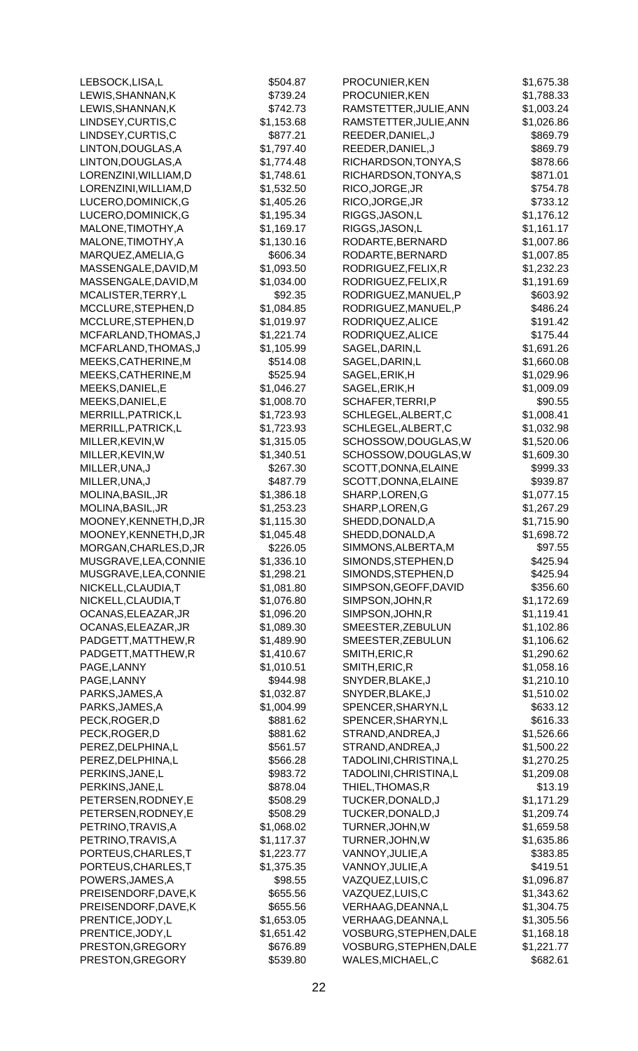| LEBSOCK,LISA,L         | \$504.87   | PROCUNIER, KEN         | \$1,675.38 |
|------------------------|------------|------------------------|------------|
| LEWIS, SHANNAN, K      | \$739.24   | PROCUNIER, KEN         | \$1,788.33 |
| LEWIS, SHANNAN, K      | \$742.73   | RAMSTETTER, JULIE, ANN | \$1,003.24 |
| LINDSEY, CURTIS, C     | \$1,153.68 | RAMSTETTER, JULIE, ANN | \$1,026.86 |
| LINDSEY, CURTIS, C     | \$877.21   | REEDER, DANIEL, J      | \$869.79   |
| LINTON, DOUGLAS, A     | \$1,797.40 | REEDER, DANIEL, J      | \$869.79   |
| LINTON, DOUGLAS, A     | \$1,774.48 | RICHARDSON, TONYA, S   | \$878.66   |
| LORENZINI, WILLIAM, D  | \$1,748.61 | RICHARDSON, TONYA, S   | \$871.01   |
| LORENZINI, WILLIAM, D  | \$1,532.50 | RICO, JORGE, JR        | \$754.78   |
|                        | \$1,405.26 | RICO, JORGE, JR        |            |
| LUCERO, DOMINICK, G    |            |                        | \$733.12   |
| LUCERO, DOMINICK, G    | \$1,195.34 | RIGGS, JASON, L        | \$1,176.12 |
| MALONE, TIMOTHY, A     | \$1,169.17 | RIGGS, JASON, L        | \$1,161.17 |
| MALONE, TIMOTHY, A     | \$1,130.16 | RODARTE, BERNARD       | \$1,007.86 |
| MARQUEZ, AMELIA, G     | \$606.34   | RODARTE, BERNARD       | \$1,007.85 |
| MASSENGALE, DAVID, M   | \$1,093.50 | RODRIGUEZ, FELIX, R    | \$1,232.23 |
| MASSENGALE, DAVID, M   | \$1,034.00 | RODRIGUEZ, FELIX, R    | \$1,191.69 |
| MCALISTER, TERRY, L    | \$92.35    | RODRIGUEZ, MANUEL, P   | \$603.92   |
| MCCLURE, STEPHEN, D    | \$1,084.85 | RODRIGUEZ, MANUEL, P   | \$486.24   |
| MCCLURE, STEPHEN, D    | \$1,019.97 | RODRIQUEZ, ALICE       | \$191.42   |
| MCFARLAND, THOMAS, J   | \$1,221.74 | RODRIQUEZ, ALICE       | \$175.44   |
| MCFARLAND, THOMAS, J   | \$1,105.99 | SAGEL, DARIN, L        | \$1,691.26 |
| MEEKS, CATHERINE, M    | \$514.08   | SAGEL, DARIN, L        | \$1,660.08 |
| MEEKS, CATHERINE, M    | \$525.94   | SAGEL, ERIK, H         | \$1,029.96 |
| MEEKS, DANIEL, E       | \$1,046.27 | SAGEL, ERIK, H         | \$1,009.09 |
| MEEKS, DANIEL, E       | \$1,008.70 | SCHAFER, TERRI, P      | \$90.55    |
| MERRILL, PATRICK, L    | \$1,723.93 | SCHLEGEL, ALBERT, C    | \$1,008.41 |
| MERRILL, PATRICK, L    | \$1,723.93 | SCHLEGEL, ALBERT, C    | \$1,032.98 |
|                        |            |                        | \$1,520.06 |
| MILLER, KEVIN, W       | \$1,315.05 | SCHOSSOW, DOUGLAS, W   |            |
| MILLER, KEVIN, W       | \$1,340.51 | SCHOSSOW, DOUGLAS, W   | \$1,609.30 |
| MILLER, UNA, J         | \$267.30   | SCOTT, DONNA, ELAINE   | \$999.33   |
| MILLER, UNA, J         | \$487.79   | SCOTT, DONNA, ELAINE   | \$939.87   |
| MOLINA, BASIL, JR      | \$1,386.18 | SHARP, LOREN, G        | \$1,077.15 |
| MOLINA, BASIL, JR      | \$1,253.23 | SHARP, LOREN, G        | \$1,267.29 |
| MOONEY, KENNETH, D, JR | \$1,115.30 | SHEDD, DONALD, A       | \$1,715.90 |
| MOONEY, KENNETH, D, JR | \$1,045.48 | SHEDD, DONALD, A       | \$1,698.72 |
| MORGAN, CHARLES, D, JR | \$226.05   | SIMMONS, ALBERTA, M    | \$97.55    |
| MUSGRAVE, LEA, CONNIE  | \$1,336.10 | SIMONDS, STEPHEN, D    | \$425.94   |
| MUSGRAVE, LEA, CONNIE  | \$1,298.21 | SIMONDS, STEPHEN, D    | \$425.94   |
| NICKELL, CLAUDIA, T    | \$1,081.80 | SIMPSON, GEOFF, DAVID  | \$356.60   |
| NICKELL, CLAUDIA, T    | \$1,076.80 | SIMPSON, JOHN, R       | \$1,172.69 |
| OCANAS, ELEAZAR, JR    | \$1,096.20 | SIMPSON, JOHN, R       | \$1,119.41 |
| OCANAS, ELEAZAR, JR    | \$1,089.30 | SMEESTER, ZEBULUN      | \$1,102.86 |
| PADGETT, MATTHEW, R    | \$1,489.90 | SMEESTER, ZEBULUN      | \$1,106.62 |
| PADGETT, MATTHEW, R    | \$1,410.67 | SMITH, ERIC, R         | \$1,290.62 |
| PAGE, LANNY            | \$1,010.51 | SMITH, ERIC, R         | \$1,058.16 |
| PAGE, LANNY            | \$944.98   | SNYDER, BLAKE, J       | \$1,210.10 |
| PARKS, JAMES, A        | \$1,032.87 | SNYDER, BLAKE, J       | \$1,510.02 |
| PARKS, JAMES, A        | \$1,004.99 | SPENCER, SHARYN, L     | \$633.12   |
| PECK, ROGER, D         | \$881.62   | SPENCER, SHARYN, L     | \$616.33   |
| PECK, ROGER, D         | \$881.62   | STRAND, ANDREA, J      | \$1,526.66 |
|                        |            |                        | \$1,500.22 |
| PEREZ, DELPHINA, L     | \$561.57   | STRAND, ANDREA, J      |            |
| PEREZ, DELPHINA, L     | \$566.28   | TADOLINI, CHRISTINA, L | \$1,270.25 |
| PERKINS, JANE, L       | \$983.72   | TADOLINI, CHRISTINA, L | \$1,209.08 |
| PERKINS, JANE, L       | \$878.04   | THIEL, THOMAS, R       | \$13.19    |
| PETERSEN, RODNEY, E    | \$508.29   | TUCKER, DONALD, J      | \$1,171.29 |
| PETERSEN, RODNEY, E    | \$508.29   | TUCKER, DONALD, J      | \$1,209.74 |
| PETRINO, TRAVIS, A     | \$1,068.02 | TURNER, JOHN, W        | \$1,659.58 |
| PETRINO, TRAVIS, A     | \$1,117.37 | TURNER, JOHN, W        | \$1,635.86 |
| PORTEUS, CHARLES, T    | \$1,223.77 | VANNOY, JULIE, A       | \$383.85   |
| PORTEUS, CHARLES, T    | \$1,375.35 | VANNOY, JULIE, A       | \$419.51   |
| POWERS, JAMES, A       | \$98.55    | VAZQUEZ,LUIS,C         | \$1,096.87 |
| PREISENDORF, DAVE, K   | \$655.56   | VAZQUEZ,LUIS,C         | \$1,343.62 |
| PREISENDORF, DAVE, K   | \$655.56   | VERHAAG, DEANNA, L     | \$1,304.75 |
| PRENTICE, JODY, L      | \$1,653.05 | VERHAAG, DEANNA, L     | \$1,305.56 |
| PRENTICE, JODY, L      | \$1,651.42 | VOSBURG, STEPHEN, DALE | \$1,168.18 |
| PRESTON, GREGORY       | \$676.89   | VOSBURG, STEPHEN, DALE | \$1,221.77 |
| PRESTON, GREGORY       | \$539.80   | WALES, MICHAEL, C      | \$682.61   |
|                        |            |                        |            |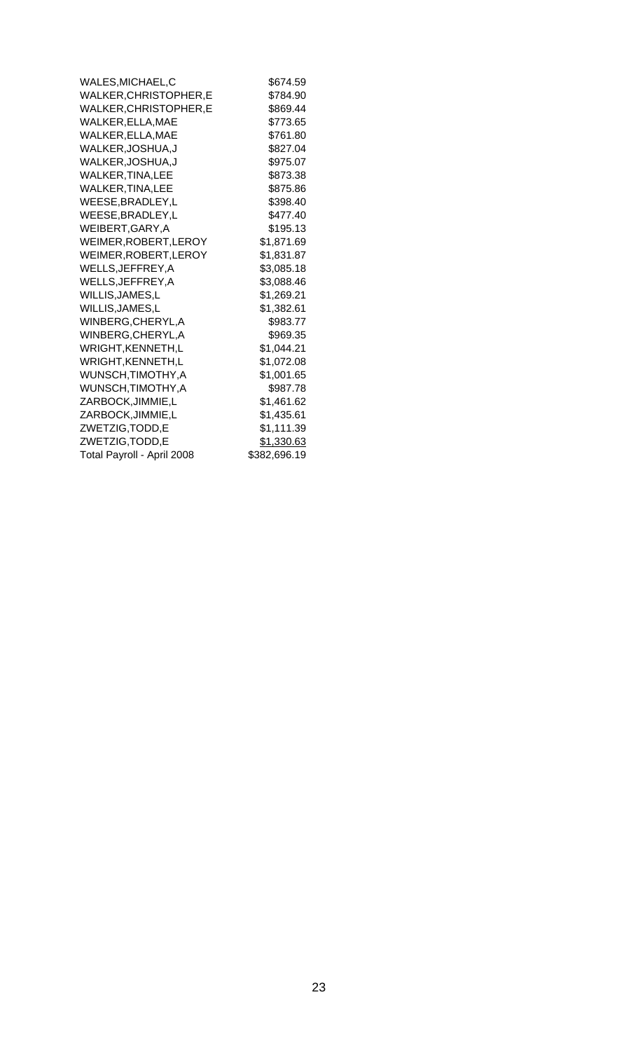| WALES, MICHAEL, C          | \$674.59     |
|----------------------------|--------------|
| WALKER, CHRISTOPHER, E     | \$784.90     |
| WALKER, CHRISTOPHER, E     | \$869.44     |
| WALKER.ELLA.MAE            | \$773.65     |
| WALKER, ELLA, MAE          | \$761.80     |
| WALKER, JOSHUA, J          | \$827.04     |
| WALKER, JOSHUA, J          | \$975.07     |
| <b>WALKER, TINA, LEE</b>   | \$873.38     |
| <b>WALKER, TINA, LEE</b>   | \$875.86     |
| WEESE, BRADLEY, L          | \$398.40     |
| WEESE, BRADLEY, L          | \$477.40     |
| WEIBERT, GARY, A           | \$195.13     |
| WEIMER, ROBERT, LEROY      | \$1,871.69   |
| WEIMER, ROBERT, LEROY      | \$1,831.87   |
| WELLS, JEFFREY, A          | \$3,085.18   |
| WELLS, JEFFREY, A          | \$3,088.46   |
| WILLIS, JAMES, L           | \$1,269.21   |
| WILLIS, JAMES, L           | \$1,382.61   |
| WINBERG, CHERYL, A         | \$983.77     |
| WINBERG, CHERYL, A         | \$969.35     |
| WRIGHT, KENNETH, L         | \$1,044.21   |
| WRIGHT, KENNETH, L         | \$1,072.08   |
| WUNSCH, TIMOTHY, A         | \$1,001.65   |
| WUNSCH, TIMOTHY, A         | \$987.78     |
| ZARBOCK, JIMMIE, L         | \$1,461.62   |
| ZARBOCK, JIMMIE, L         | \$1,435.61   |
| ZWETZIG, TODD, E           | \$1,111.39   |
| ZWETZIG, TODD, E           | \$1,330.63   |
| Total Payroll - April 2008 | \$382,696.19 |
|                            |              |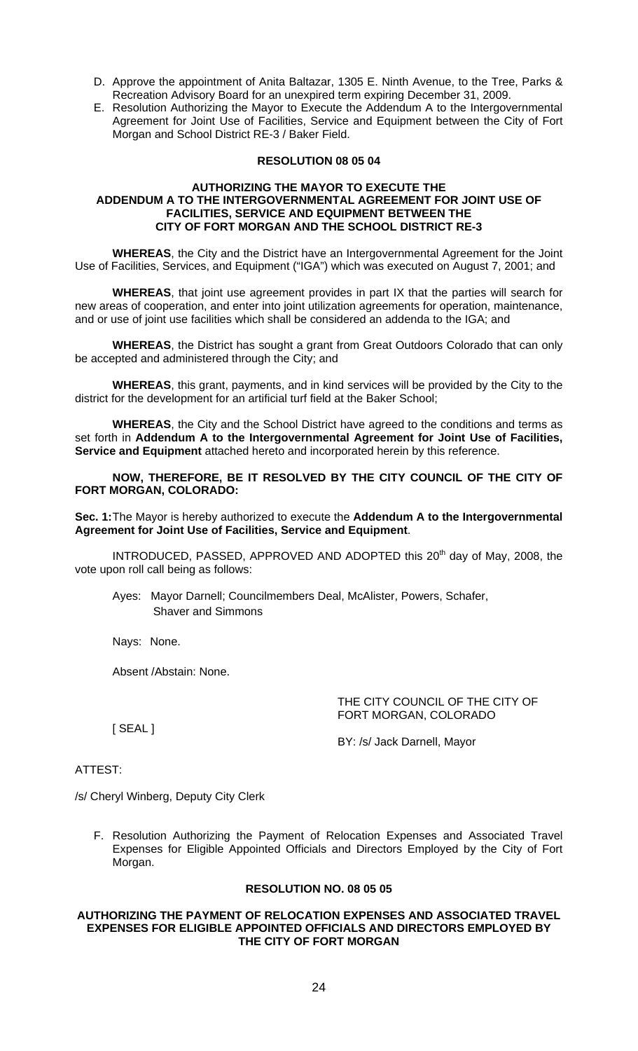- D. Approve the appointment of Anita Baltazar, 1305 E. Ninth Avenue, to the Tree, Parks & Recreation Advisory Board for an unexpired term expiring December 31, 2009.
- E. Resolution Authorizing the Mayor to Execute the Addendum A to the Intergovernmental Agreement for Joint Use of Facilities, Service and Equipment between the City of Fort Morgan and School District RE-3 / Baker Field.

## **RESOLUTION 08 05 04**

#### **AUTHORIZING THE MAYOR TO EXECUTE THE ADDENDUM A TO THE INTERGOVERNMENTAL AGREEMENT FOR JOINT USE OF FACILITIES, SERVICE AND EQUIPMENT BETWEEN THE CITY OF FORT MORGAN AND THE SCHOOL DISTRICT RE-3**

**WHEREAS**, the City and the District have an Intergovernmental Agreement for the Joint Use of Facilities, Services, and Equipment ("IGA") which was executed on August 7, 2001; and

**WHEREAS**, that joint use agreement provides in part IX that the parties will search for new areas of cooperation, and enter into joint utilization agreements for operation, maintenance, and or use of joint use facilities which shall be considered an addenda to the IGA; and

**WHEREAS**, the District has sought a grant from Great Outdoors Colorado that can only be accepted and administered through the City; and

**WHEREAS**, this grant, payments, and in kind services will be provided by the City to the district for the development for an artificial turf field at the Baker School;

**WHEREAS**, the City and the School District have agreed to the conditions and terms as set forth in **Addendum A to the Intergovernmental Agreement for Joint Use of Facilities, Service and Equipment** attached hereto and incorporated herein by this reference.

**NOW, THEREFORE, BE IT RESOLVED BY THE CITY COUNCIL OF THE CITY OF FORT MORGAN, COLORADO:** 

**Sec. 1:** The Mayor is hereby authorized to execute the **Addendum A to the Intergovernmental Agreement for Joint Use of Facilities, Service and Equipment**.

INTRODUCED, PASSED, APPROVED AND ADOPTED this 20<sup>th</sup> day of May, 2008, the vote upon roll call being as follows:

Ayes: Mayor Darnell; Councilmembers Deal, McAlister, Powers, Schafer, Shaver and Simmons

Nays: None.

Absent /Abstain: None.

THE CITY COUNCIL OF THE CITY OF FORT MORGAN, COLORADO

[ SEAL ]

BY: /s/ Jack Darnell, Mayor

# ATTEST:

/s/ Cheryl Winberg, Deputy City Clerk

F. Resolution Authorizing the Payment of Relocation Expenses and Associated Travel Expenses for Eligible Appointed Officials and Directors Employed by the City of Fort Morgan.

# **RESOLUTION NO. 08 05 05**

#### **AUTHORIZING THE PAYMENT OF RELOCATION EXPENSES AND ASSOCIATED TRAVEL EXPENSES FOR ELIGIBLE APPOINTED OFFICIALS AND DIRECTORS EMPLOYED BY THE CITY OF FORT MORGAN**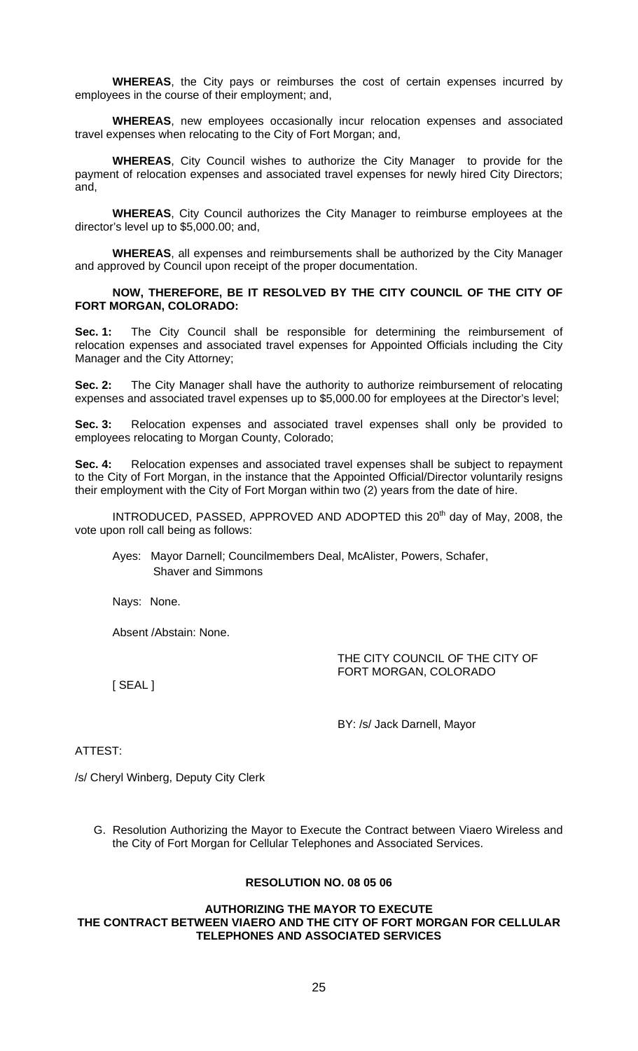**WHEREAS**, the City pays or reimburses the cost of certain expenses incurred by employees in the course of their employment; and,

**WHEREAS**, new employees occasionally incur relocation expenses and associated travel expenses when relocating to the City of Fort Morgan; and,

**WHEREAS**, City Council wishes to authorize the City Manager to provide for the payment of relocation expenses and associated travel expenses for newly hired City Directors; and,

**WHEREAS**, City Council authorizes the City Manager to reimburse employees at the director's level up to \$5,000.00; and,

**WHEREAS**, all expenses and reimbursements shall be authorized by the City Manager and approved by Council upon receipt of the proper documentation.

**NOW, THEREFORE, BE IT RESOLVED BY THE CITY COUNCIL OF THE CITY OF FORT MORGAN, COLORADO:** 

**Sec. 1:** The City Council shall be responsible for determining the reimbursement of relocation expenses and associated travel expenses for Appointed Officials including the City Manager and the City Attorney;

**Sec. 2:** The City Manager shall have the authority to authorize reimbursement of relocating expenses and associated travel expenses up to \$5,000.00 for employees at the Director's level;

**Sec. 3:** Relocation expenses and associated travel expenses shall only be provided to employees relocating to Morgan County, Colorado;

**Sec. 4:** Relocation expenses and associated travel expenses shall be subject to repayment to the City of Fort Morgan, in the instance that the Appointed Official/Director voluntarily resigns their employment with the City of Fort Morgan within two (2) years from the date of hire.

INTRODUCED, PASSED, APPROVED AND ADOPTED this 20<sup>th</sup> day of May, 2008, the vote upon roll call being as follows:

Ayes: Mayor Darnell; Councilmembers Deal, McAlister, Powers, Schafer, Shaver and Simmons

Nays: None.

Absent /Abstain: None.

THE CITY COUNCIL OF THE CITY OF FORT MORGAN, COLORADO

[ SEAL ]

BY: /s/ Jack Darnell, Mayor

# ATTEST:

/s/ Cheryl Winberg, Deputy City Clerk

G. Resolution Authorizing the Mayor to Execute the Contract between Viaero Wireless and the City of Fort Morgan for Cellular Telephones and Associated Services.

### **RESOLUTION NO. 08 05 06**

## **AUTHORIZING THE MAYOR TO EXECUTE THE CONTRACT BETWEEN VIAERO AND THE CITY OF FORT MORGAN FOR CELLULAR TELEPHONES AND ASSOCIATED SERVICES**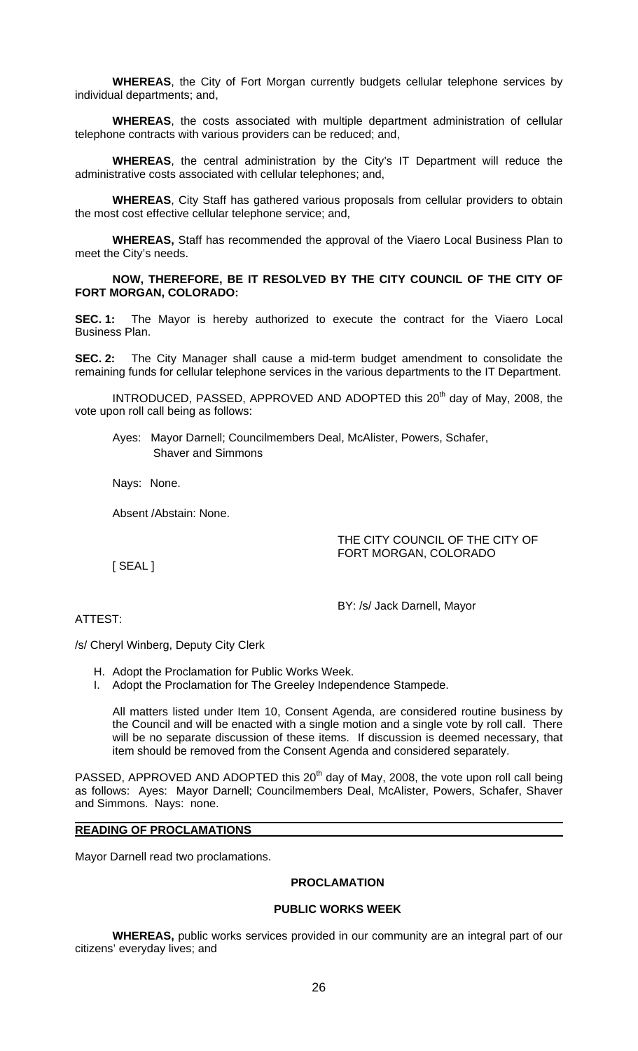**WHEREAS**, the City of Fort Morgan currently budgets cellular telephone services by individual departments; and,

**WHEREAS**, the costs associated with multiple department administration of cellular telephone contracts with various providers can be reduced; and,

**WHEREAS**, the central administration by the City's IT Department will reduce the administrative costs associated with cellular telephones; and,

**WHEREAS**, City Staff has gathered various proposals from cellular providers to obtain the most cost effective cellular telephone service; and,

**WHEREAS,** Staff has recommended the approval of the Viaero Local Business Plan to meet the City's needs.

**NOW, THEREFORE, BE IT RESOLVED BY THE CITY COUNCIL OF THE CITY OF FORT MORGAN, COLORADO:** 

**SEC. 1:** The Mayor is hereby authorized to execute the contract for the Viaero Local Business Plan.

**SEC. 2:** The City Manager shall cause a mid-term budget amendment to consolidate the remaining funds for cellular telephone services in the various departments to the IT Department.

INTRODUCED, PASSED, APPROVED AND ADOPTED this 20<sup>th</sup> day of May, 2008, the vote upon roll call being as follows:

Ayes: Mayor Darnell; Councilmembers Deal, McAlister, Powers, Schafer, Shaver and Simmons

Nays: None.

Absent /Abstain: None.

THE CITY COUNCIL OF THE CITY OF FORT MORGAN, COLORADO

[ SEAL ]

BY: /s/ Jack Darnell, Mayor

ATTEST:

/s/ Cheryl Winberg, Deputy City Clerk

- H. Adopt the Proclamation for Public Works Week.
- I. Adopt the Proclamation for The Greeley Independence Stampede.

All matters listed under Item 10, Consent Agenda, are considered routine business by the Council and will be enacted with a single motion and a single vote by roll call. There will be no separate discussion of these items. If discussion is deemed necessary, that item should be removed from the Consent Agenda and considered separately.

PASSED, APPROVED AND ADOPTED this  $20<sup>th</sup>$  day of May, 2008, the vote upon roll call being as follows: Ayes: Mayor Darnell; Councilmembers Deal, McAlister, Powers, Schafer, Shaver and Simmons. Nays: none.

#### **READING OF PROCLAMATIONS**

Mayor Darnell read two proclamations.

#### **PROCLAMATION**

## **PUBLIC WORKS WEEK**

 **WHEREAS,** public works services provided in our community are an integral part of our citizens' everyday lives; and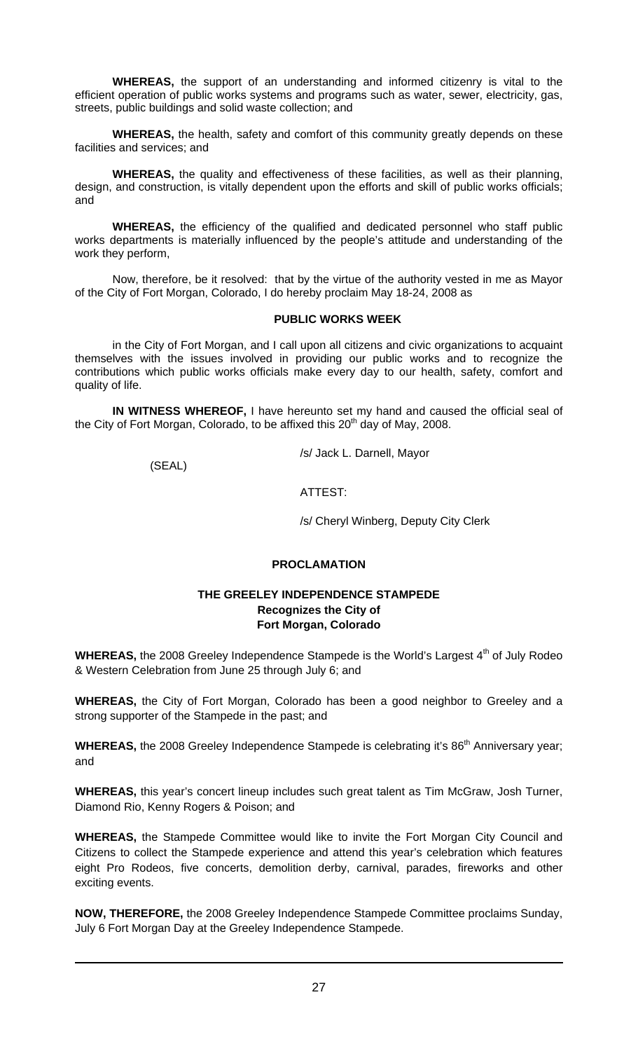**WHEREAS,** the support of an understanding and informed citizenry is vital to the efficient operation of public works systems and programs such as water, sewer, electricity, gas, streets, public buildings and solid waste collection; and

**WHEREAS,** the health, safety and comfort of this community greatly depends on these facilities and services; and

**WHEREAS,** the quality and effectiveness of these facilities, as well as their planning, design, and construction, is vitally dependent upon the efforts and skill of public works officials; and

**WHEREAS,** the efficiency of the qualified and dedicated personnel who staff public works departments is materially influenced by the people's attitude and understanding of the work they perform,

 Now, therefore, be it resolved: that by the virtue of the authority vested in me as Mayor of the City of Fort Morgan, Colorado, I do hereby proclaim May 18-24, 2008 as

## **PUBLIC WORKS WEEK**

 in the City of Fort Morgan, and I call upon all citizens and civic organizations to acquaint themselves with the issues involved in providing our public works and to recognize the contributions which public works officials make every day to our health, safety, comfort and quality of life.

**IN WITNESS WHEREOF,** I have hereunto set my hand and caused the official seal of the City of Fort Morgan, Colorado, to be affixed this  $20<sup>th</sup>$  day of May, 2008.

/s/ Jack L. Darnell, Mayor

(SEAL)

ATTEST:

/s/ Cheryl Winberg, Deputy City Clerk

# **PROCLAMATION**

# **THE GREELEY INDEPENDENCE STAMPEDE Recognizes the City of Fort Morgan, Colorado**

**WHEREAS,** the 2008 Greeley Independence Stampede is the World's Largest 4<sup>th</sup> of July Rodeo & Western Celebration from June 25 through July 6; and

**WHEREAS,** the City of Fort Morgan, Colorado has been a good neighbor to Greeley and a strong supporter of the Stampede in the past; and

WHEREAS, the 2008 Greeley Independence Stampede is celebrating it's 86<sup>th</sup> Anniversary year; and

**WHEREAS,** this year's concert lineup includes such great talent as Tim McGraw, Josh Turner, Diamond Rio, Kenny Rogers & Poison; and

**WHEREAS,** the Stampede Committee would like to invite the Fort Morgan City Council and Citizens to collect the Stampede experience and attend this year's celebration which features eight Pro Rodeos, five concerts, demolition derby, carnival, parades, fireworks and other exciting events.

**NOW, THEREFORE,** the 2008 Greeley Independence Stampede Committee proclaims Sunday, July 6 Fort Morgan Day at the Greeley Independence Stampede.